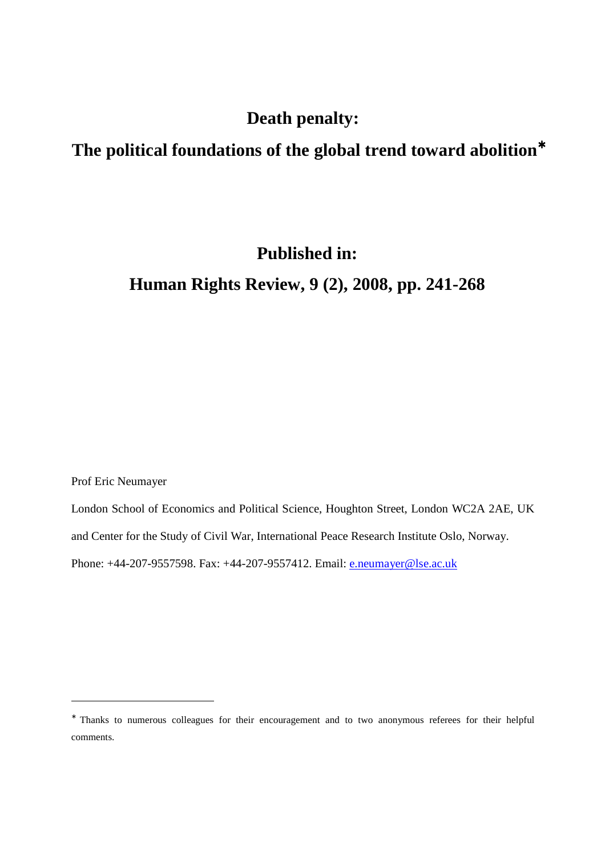# **Death penalty:**

# **The political foundations of the global trend toward abolition**<sup>∗</sup>

# **Published in:**

# **Human Rights Review, 9 (2), 2008, pp. 241-268**

Prof Eric Neumayer

-

London School of Economics and Political Science, Houghton Street, London WC2A 2AE, UK and Center for the Study of Civil War, International Peace Research Institute Oslo, Norway.

Phone: +44-207-9557598. Fax: +44-207-9557412. Email: e.neumayer@lse.ac.uk

<sup>∗</sup> Thanks to numerous colleagues for their encouragement and to two anonymous referees for their helpful comments.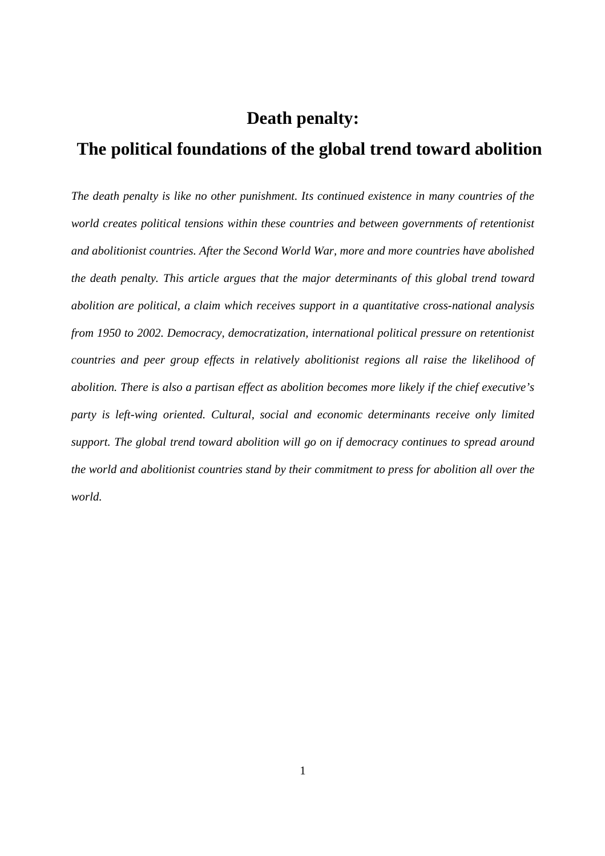# **Death penalty:**

# **The political foundations of the global trend toward abolition**

*The death penalty is like no other punishment. Its continued existence in many countries of the world creates political tensions within these countries and between governments of retentionist and abolitionist countries. After the Second World War, more and more countries have abolished the death penalty. This article argues that the major determinants of this global trend toward abolition are political, a claim which receives support in a quantitative cross-national analysis from 1950 to 2002. Democracy, democratization, international political pressure on retentionist countries and peer group effects in relatively abolitionist regions all raise the likelihood of abolition. There is also a partisan effect as abolition becomes more likely if the chief executive's*  party is left-wing oriented. Cultural, social and economic determinants receive only limited *support. The global trend toward abolition will go on if democracy continues to spread around the world and abolitionist countries stand by their commitment to press for abolition all over the world.*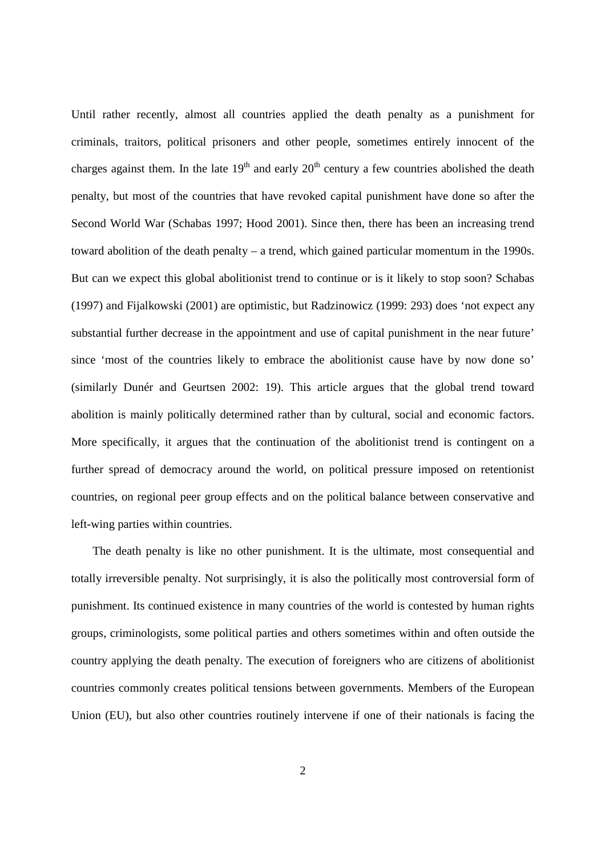Until rather recently, almost all countries applied the death penalty as a punishment for criminals, traitors, political prisoners and other people, sometimes entirely innocent of the charges against them. In the late  $19<sup>th</sup>$  and early  $20<sup>th</sup>$  century a few countries abolished the death penalty, but most of the countries that have revoked capital punishment have done so after the Second World War (Schabas 1997; Hood 2001). Since then, there has been an increasing trend toward abolition of the death penalty – a trend, which gained particular momentum in the 1990s. But can we expect this global abolitionist trend to continue or is it likely to stop soon? Schabas (1997) and Fijalkowski (2001) are optimistic, but Radzinowicz (1999: 293) does 'not expect any substantial further decrease in the appointment and use of capital punishment in the near future' since 'most of the countries likely to embrace the abolitionist cause have by now done so' (similarly Dunér and Geurtsen 2002: 19). This article argues that the global trend toward abolition is mainly politically determined rather than by cultural, social and economic factors. More specifically, it argues that the continuation of the abolitionist trend is contingent on a further spread of democracy around the world, on political pressure imposed on retentionist countries, on regional peer group effects and on the political balance between conservative and left-wing parties within countries.

The death penalty is like no other punishment. It is the ultimate, most consequential and totally irreversible penalty. Not surprisingly, it is also the politically most controversial form of punishment. Its continued existence in many countries of the world is contested by human rights groups, criminologists, some political parties and others sometimes within and often outside the country applying the death penalty. The execution of foreigners who are citizens of abolitionist countries commonly creates political tensions between governments. Members of the European Union (EU), but also other countries routinely intervene if one of their nationals is facing the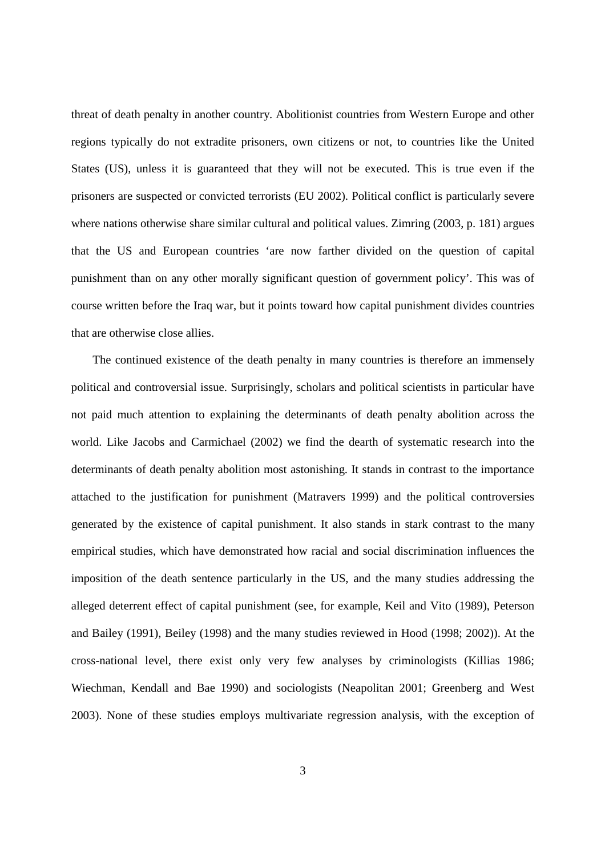threat of death penalty in another country. Abolitionist countries from Western Europe and other regions typically do not extradite prisoners, own citizens or not, to countries like the United States (US), unless it is guaranteed that they will not be executed. This is true even if the prisoners are suspected or convicted terrorists (EU 2002). Political conflict is particularly severe where nations otherwise share similar cultural and political values. Zimring (2003, p. 181) argues that the US and European countries 'are now farther divided on the question of capital punishment than on any other morally significant question of government policy'. This was of course written before the Iraq war, but it points toward how capital punishment divides countries that are otherwise close allies.

The continued existence of the death penalty in many countries is therefore an immensely political and controversial issue. Surprisingly, scholars and political scientists in particular have not paid much attention to explaining the determinants of death penalty abolition across the world. Like Jacobs and Carmichael (2002) we find the dearth of systematic research into the determinants of death penalty abolition most astonishing. It stands in contrast to the importance attached to the justification for punishment (Matravers 1999) and the political controversies generated by the existence of capital punishment. It also stands in stark contrast to the many empirical studies, which have demonstrated how racial and social discrimination influences the imposition of the death sentence particularly in the US, and the many studies addressing the alleged deterrent effect of capital punishment (see, for example, Keil and Vito (1989), Peterson and Bailey (1991), Beiley (1998) and the many studies reviewed in Hood (1998; 2002)). At the cross-national level, there exist only very few analyses by criminologists (Killias 1986; Wiechman, Kendall and Bae 1990) and sociologists (Neapolitan 2001; Greenberg and West 2003). None of these studies employs multivariate regression analysis, with the exception of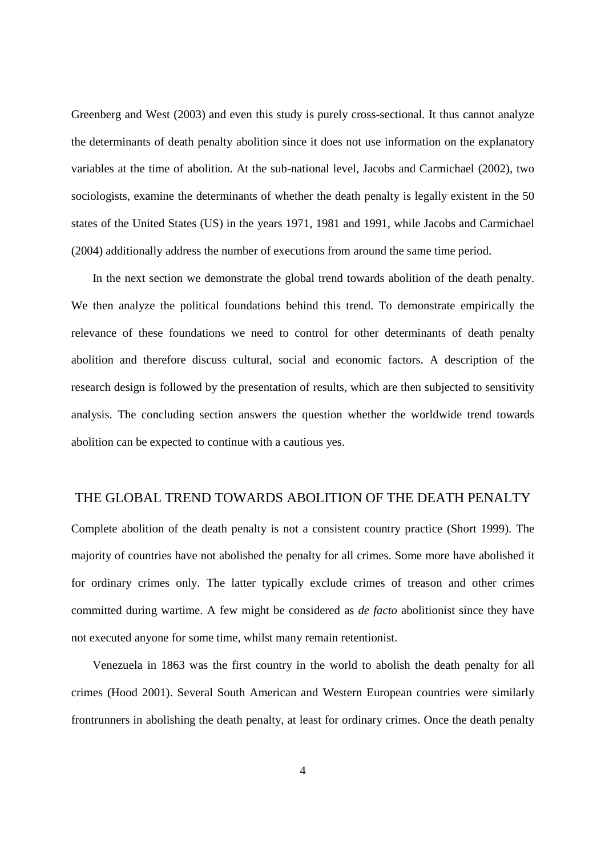Greenberg and West (2003) and even this study is purely cross-sectional. It thus cannot analyze the determinants of death penalty abolition since it does not use information on the explanatory variables at the time of abolition. At the sub-national level, Jacobs and Carmichael (2002), two sociologists, examine the determinants of whether the death penalty is legally existent in the 50 states of the United States (US) in the years 1971, 1981 and 1991, while Jacobs and Carmichael (2004) additionally address the number of executions from around the same time period.

In the next section we demonstrate the global trend towards abolition of the death penalty. We then analyze the political foundations behind this trend. To demonstrate empirically the relevance of these foundations we need to control for other determinants of death penalty abolition and therefore discuss cultural, social and economic factors. A description of the research design is followed by the presentation of results, which are then subjected to sensitivity analysis. The concluding section answers the question whether the worldwide trend towards abolition can be expected to continue with a cautious yes.

## THE GLOBAL TREND TOWARDS ABOLITION OF THE DEATH PENALTY

Complete abolition of the death penalty is not a consistent country practice (Short 1999). The majority of countries have not abolished the penalty for all crimes. Some more have abolished it for ordinary crimes only. The latter typically exclude crimes of treason and other crimes committed during wartime. A few might be considered as *de facto* abolitionist since they have not executed anyone for some time, whilst many remain retentionist.

Venezuela in 1863 was the first country in the world to abolish the death penalty for all crimes (Hood 2001). Several South American and Western European countries were similarly frontrunners in abolishing the death penalty, at least for ordinary crimes. Once the death penalty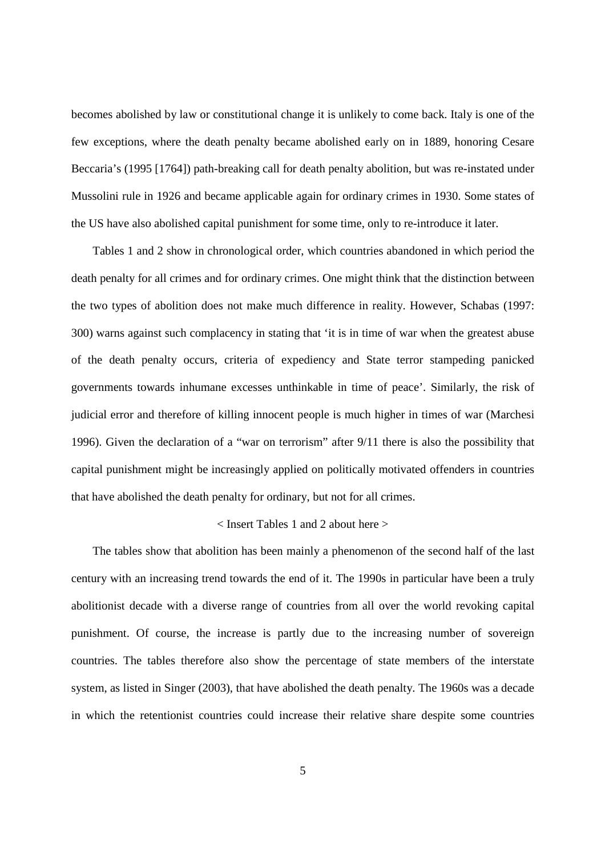becomes abolished by law or constitutional change it is unlikely to come back. Italy is one of the few exceptions, where the death penalty became abolished early on in 1889, honoring Cesare Beccaria's (1995 [1764]) path-breaking call for death penalty abolition, but was re-instated under Mussolini rule in 1926 and became applicable again for ordinary crimes in 1930. Some states of the US have also abolished capital punishment for some time, only to re-introduce it later.

Tables 1 and 2 show in chronological order, which countries abandoned in which period the death penalty for all crimes and for ordinary crimes. One might think that the distinction between the two types of abolition does not make much difference in reality. However, Schabas (1997: 300) warns against such complacency in stating that 'it is in time of war when the greatest abuse of the death penalty occurs, criteria of expediency and State terror stampeding panicked governments towards inhumane excesses unthinkable in time of peace'. Similarly, the risk of judicial error and therefore of killing innocent people is much higher in times of war (Marchesi 1996). Given the declaration of a "war on terrorism" after 9/11 there is also the possibility that capital punishment might be increasingly applied on politically motivated offenders in countries that have abolished the death penalty for ordinary, but not for all crimes.

#### < Insert Tables 1 and 2 about here >

The tables show that abolition has been mainly a phenomenon of the second half of the last century with an increasing trend towards the end of it. The 1990s in particular have been a truly abolitionist decade with a diverse range of countries from all over the world revoking capital punishment. Of course, the increase is partly due to the increasing number of sovereign countries. The tables therefore also show the percentage of state members of the interstate system, as listed in Singer (2003), that have abolished the death penalty. The 1960s was a decade in which the retentionist countries could increase their relative share despite some countries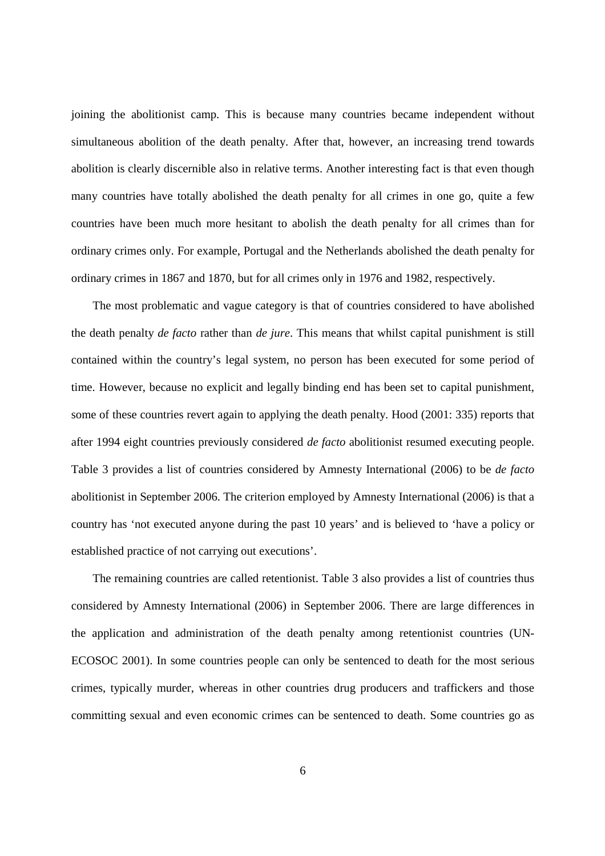joining the abolitionist camp. This is because many countries became independent without simultaneous abolition of the death penalty. After that, however, an increasing trend towards abolition is clearly discernible also in relative terms. Another interesting fact is that even though many countries have totally abolished the death penalty for all crimes in one go, quite a few countries have been much more hesitant to abolish the death penalty for all crimes than for ordinary crimes only. For example, Portugal and the Netherlands abolished the death penalty for ordinary crimes in 1867 and 1870, but for all crimes only in 1976 and 1982, respectively.

The most problematic and vague category is that of countries considered to have abolished the death penalty *de facto* rather than *de jure*. This means that whilst capital punishment is still contained within the country's legal system, no person has been executed for some period of time. However, because no explicit and legally binding end has been set to capital punishment, some of these countries revert again to applying the death penalty. Hood (2001: 335) reports that after 1994 eight countries previously considered *de facto* abolitionist resumed executing people. Table 3 provides a list of countries considered by Amnesty International (2006) to be *de facto* abolitionist in September 2006. The criterion employed by Amnesty International (2006) is that a country has 'not executed anyone during the past 10 years' and is believed to 'have a policy or established practice of not carrying out executions'.

The remaining countries are called retentionist. Table 3 also provides a list of countries thus considered by Amnesty International (2006) in September 2006. There are large differences in the application and administration of the death penalty among retentionist countries (UN-ECOSOC 2001). In some countries people can only be sentenced to death for the most serious crimes, typically murder, whereas in other countries drug producers and traffickers and those committing sexual and even economic crimes can be sentenced to death. Some countries go as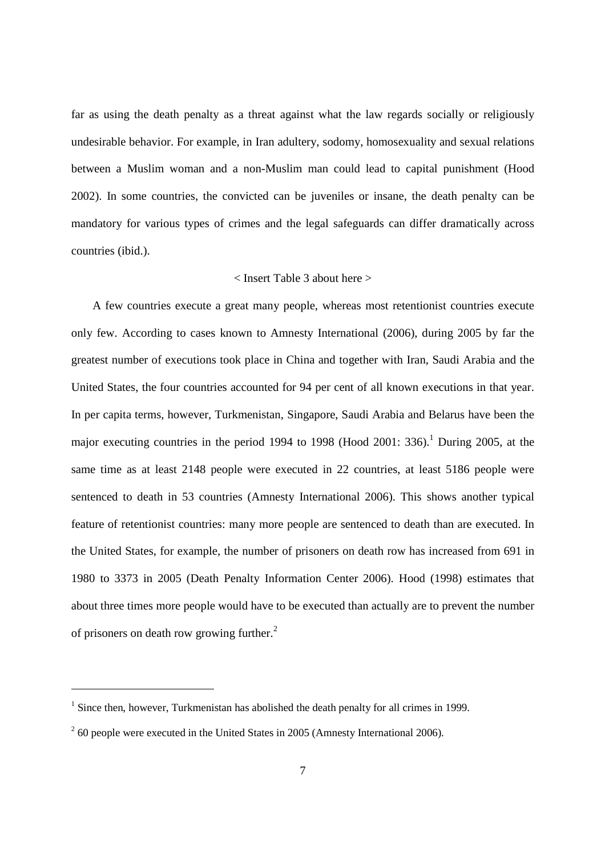far as using the death penalty as a threat against what the law regards socially or religiously undesirable behavior. For example, in Iran adultery, sodomy, homosexuality and sexual relations between a Muslim woman and a non-Muslim man could lead to capital punishment (Hood 2002). In some countries, the convicted can be juveniles or insane, the death penalty can be mandatory for various types of crimes and the legal safeguards can differ dramatically across countries (ibid.).

#### < Insert Table 3 about here >

A few countries execute a great many people, whereas most retentionist countries execute only few. According to cases known to Amnesty International (2006), during 2005 by far the greatest number of executions took place in China and together with Iran, Saudi Arabia and the United States, the four countries accounted for 94 per cent of all known executions in that year. In per capita terms, however, Turkmenistan, Singapore, Saudi Arabia and Belarus have been the major executing countries in the period 1994 to 1998 (Hood 2001: 336).<sup>1</sup> During 2005, at the same time as at least 2148 people were executed in 22 countries, at least 5186 people were sentenced to death in 53 countries (Amnesty International 2006). This shows another typical feature of retentionist countries: many more people are sentenced to death than are executed. In the United States, for example, the number of prisoners on death row has increased from 691 in 1980 to 3373 in 2005 (Death Penalty Information Center 2006). Hood (1998) estimates that about three times more people would have to be executed than actually are to prevent the number of prisoners on death row growing further.<sup>2</sup>

 $<sup>1</sup>$  Since then, however, Turkmenistan has abolished the death penalty for all crimes in 1999.</sup>

 $2$  60 people were executed in the United States in 2005 (Amnesty International 2006).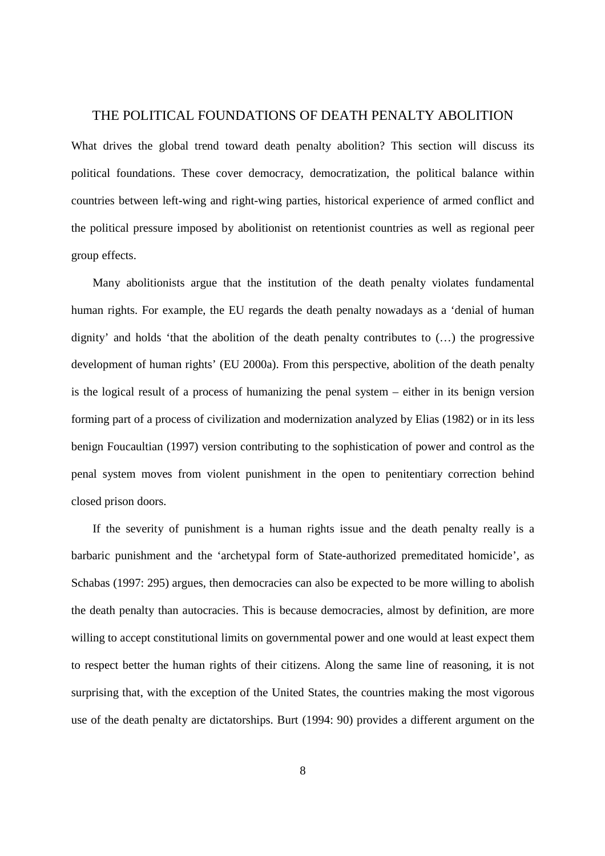#### THE POLITICAL FOUNDATIONS OF DEATH PENALTY ABOLITION

What drives the global trend toward death penalty abolition? This section will discuss its political foundations. These cover democracy, democratization, the political balance within countries between left-wing and right-wing parties, historical experience of armed conflict and the political pressure imposed by abolitionist on retentionist countries as well as regional peer group effects.

Many abolitionists argue that the institution of the death penalty violates fundamental human rights. For example, the EU regards the death penalty nowadays as a 'denial of human dignity' and holds 'that the abolition of the death penalty contributes to (…) the progressive development of human rights' (EU 2000a). From this perspective, abolition of the death penalty is the logical result of a process of humanizing the penal system – either in its benign version forming part of a process of civilization and modernization analyzed by Elias (1982) or in its less benign Foucaultian (1997) version contributing to the sophistication of power and control as the penal system moves from violent punishment in the open to penitentiary correction behind closed prison doors.

If the severity of punishment is a human rights issue and the death penalty really is a barbaric punishment and the 'archetypal form of State-authorized premeditated homicide', as Schabas (1997: 295) argues, then democracies can also be expected to be more willing to abolish the death penalty than autocracies. This is because democracies, almost by definition, are more willing to accept constitutional limits on governmental power and one would at least expect them to respect better the human rights of their citizens. Along the same line of reasoning, it is not surprising that, with the exception of the United States, the countries making the most vigorous use of the death penalty are dictatorships. Burt (1994: 90) provides a different argument on the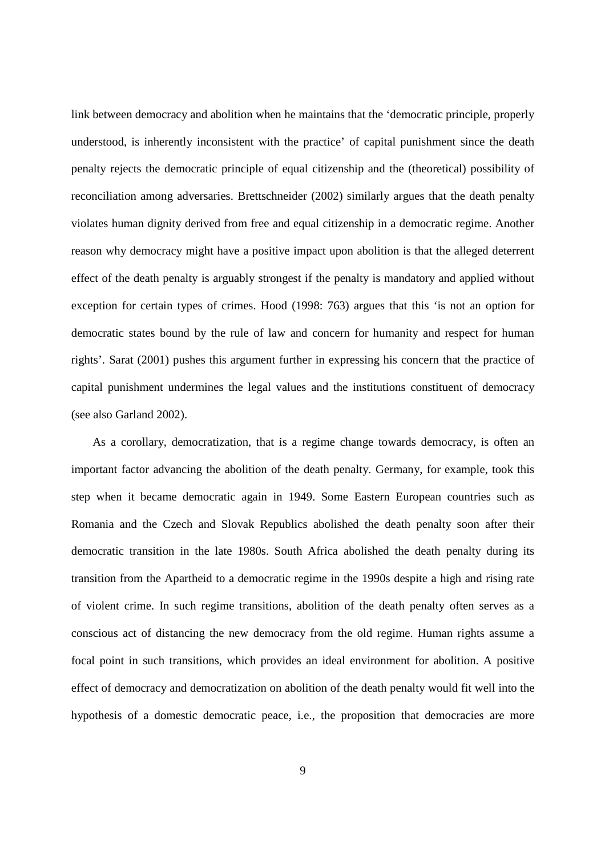link between democracy and abolition when he maintains that the 'democratic principle, properly understood, is inherently inconsistent with the practice' of capital punishment since the death penalty rejects the democratic principle of equal citizenship and the (theoretical) possibility of reconciliation among adversaries. Brettschneider (2002) similarly argues that the death penalty violates human dignity derived from free and equal citizenship in a democratic regime. Another reason why democracy might have a positive impact upon abolition is that the alleged deterrent effect of the death penalty is arguably strongest if the penalty is mandatory and applied without exception for certain types of crimes. Hood (1998: 763) argues that this 'is not an option for democratic states bound by the rule of law and concern for humanity and respect for human rights'. Sarat (2001) pushes this argument further in expressing his concern that the practice of capital punishment undermines the legal values and the institutions constituent of democracy (see also Garland 2002).

As a corollary, democratization, that is a regime change towards democracy, is often an important factor advancing the abolition of the death penalty. Germany, for example, took this step when it became democratic again in 1949. Some Eastern European countries such as Romania and the Czech and Slovak Republics abolished the death penalty soon after their democratic transition in the late 1980s. South Africa abolished the death penalty during its transition from the Apartheid to a democratic regime in the 1990s despite a high and rising rate of violent crime. In such regime transitions, abolition of the death penalty often serves as a conscious act of distancing the new democracy from the old regime. Human rights assume a focal point in such transitions, which provides an ideal environment for abolition. A positive effect of democracy and democratization on abolition of the death penalty would fit well into the hypothesis of a domestic democratic peace, i.e., the proposition that democracies are more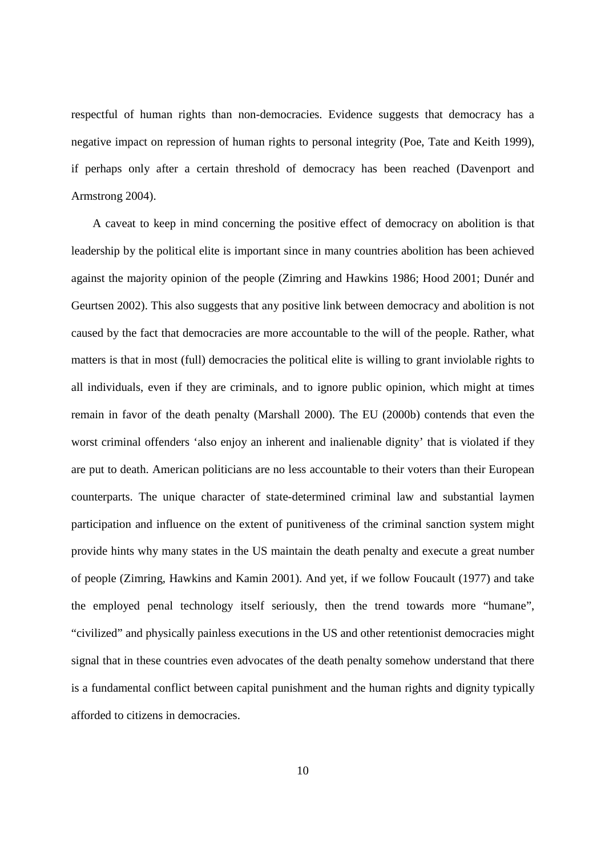respectful of human rights than non-democracies. Evidence suggests that democracy has a negative impact on repression of human rights to personal integrity (Poe, Tate and Keith 1999), if perhaps only after a certain threshold of democracy has been reached (Davenport and Armstrong 2004).

A caveat to keep in mind concerning the positive effect of democracy on abolition is that leadership by the political elite is important since in many countries abolition has been achieved against the majority opinion of the people (Zimring and Hawkins 1986; Hood 2001; Dunér and Geurtsen 2002). This also suggests that any positive link between democracy and abolition is not caused by the fact that democracies are more accountable to the will of the people. Rather, what matters is that in most (full) democracies the political elite is willing to grant inviolable rights to all individuals, even if they are criminals, and to ignore public opinion, which might at times remain in favor of the death penalty (Marshall 2000). The EU (2000b) contends that even the worst criminal offenders 'also enjoy an inherent and inalienable dignity' that is violated if they are put to death. American politicians are no less accountable to their voters than their European counterparts. The unique character of state-determined criminal law and substantial laymen participation and influence on the extent of punitiveness of the criminal sanction system might provide hints why many states in the US maintain the death penalty and execute a great number of people (Zimring, Hawkins and Kamin 2001). And yet, if we follow Foucault (1977) and take the employed penal technology itself seriously, then the trend towards more "humane", "civilized" and physically painless executions in the US and other retentionist democracies might signal that in these countries even advocates of the death penalty somehow understand that there is a fundamental conflict between capital punishment and the human rights and dignity typically afforded to citizens in democracies.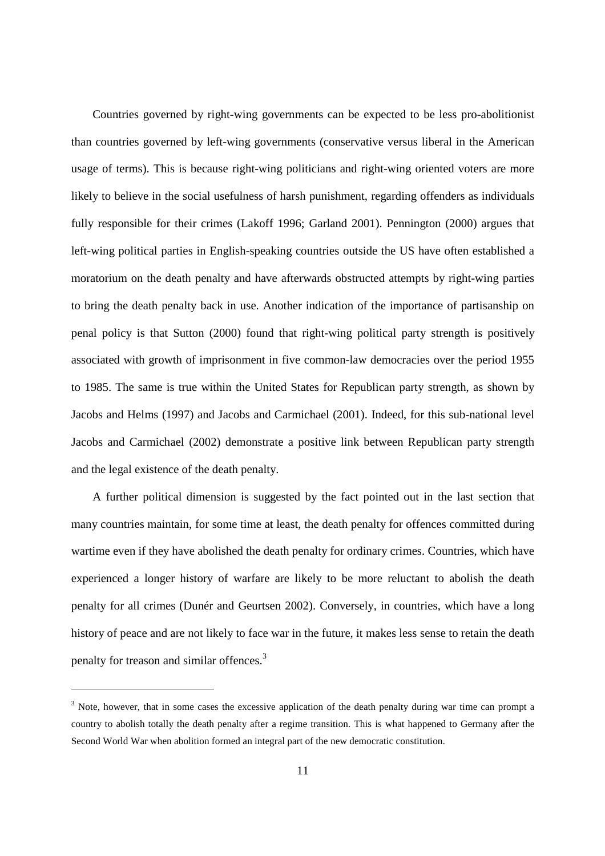Countries governed by right-wing governments can be expected to be less pro-abolitionist than countries governed by left-wing governments (conservative versus liberal in the American usage of terms). This is because right-wing politicians and right-wing oriented voters are more likely to believe in the social usefulness of harsh punishment, regarding offenders as individuals fully responsible for their crimes (Lakoff 1996; Garland 2001). Pennington (2000) argues that left-wing political parties in English-speaking countries outside the US have often established a moratorium on the death penalty and have afterwards obstructed attempts by right-wing parties to bring the death penalty back in use. Another indication of the importance of partisanship on penal policy is that Sutton (2000) found that right-wing political party strength is positively associated with growth of imprisonment in five common-law democracies over the period 1955 to 1985. The same is true within the United States for Republican party strength, as shown by Jacobs and Helms (1997) and Jacobs and Carmichael (2001). Indeed, for this sub-national level Jacobs and Carmichael (2002) demonstrate a positive link between Republican party strength and the legal existence of the death penalty.

A further political dimension is suggested by the fact pointed out in the last section that many countries maintain, for some time at least, the death penalty for offences committed during wartime even if they have abolished the death penalty for ordinary crimes. Countries, which have experienced a longer history of warfare are likely to be more reluctant to abolish the death penalty for all crimes (Dunér and Geurtsen 2002). Conversely, in countries, which have a long history of peace and are not likely to face war in the future, it makes less sense to retain the death penalty for treason and similar offences.<sup>3</sup>

 $3$  Note, however, that in some cases the excessive application of the death penalty during war time can prompt a country to abolish totally the death penalty after a regime transition. This is what happened to Germany after the Second World War when abolition formed an integral part of the new democratic constitution.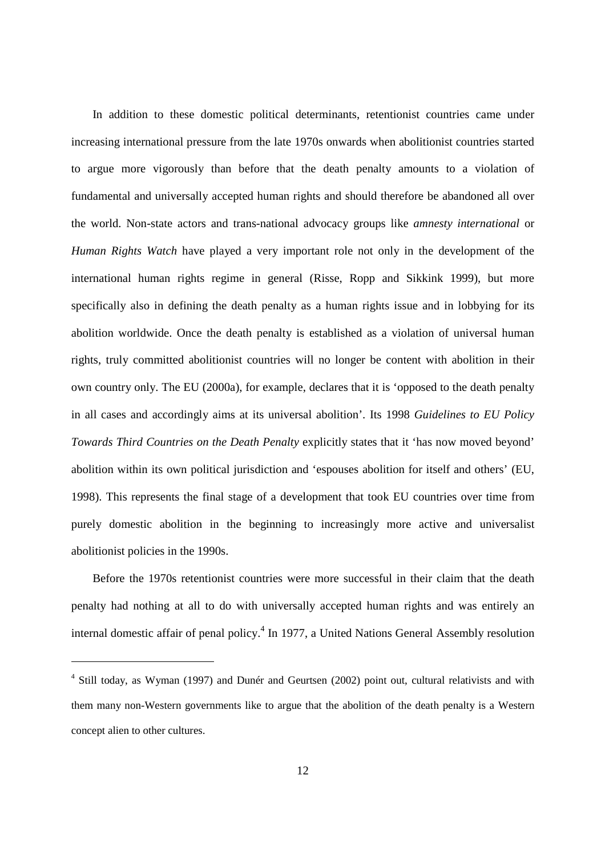In addition to these domestic political determinants, retentionist countries came under increasing international pressure from the late 1970s onwards when abolitionist countries started to argue more vigorously than before that the death penalty amounts to a violation of fundamental and universally accepted human rights and should therefore be abandoned all over the world. Non-state actors and trans-national advocacy groups like *amnesty international* or *Human Rights Watch* have played a very important role not only in the development of the international human rights regime in general (Risse, Ropp and Sikkink 1999), but more specifically also in defining the death penalty as a human rights issue and in lobbying for its abolition worldwide. Once the death penalty is established as a violation of universal human rights, truly committed abolitionist countries will no longer be content with abolition in their own country only. The EU (2000a), for example, declares that it is 'opposed to the death penalty in all cases and accordingly aims at its universal abolition'. Its 1998 *Guidelines to EU Policy Towards Third Countries on the Death Penalty* explicitly states that it 'has now moved beyond' abolition within its own political jurisdiction and 'espouses abolition for itself and others' (EU, 1998). This represents the final stage of a development that took EU countries over time from purely domestic abolition in the beginning to increasingly more active and universalist abolitionist policies in the 1990s.

Before the 1970s retentionist countries were more successful in their claim that the death penalty had nothing at all to do with universally accepted human rights and was entirely an internal domestic affair of penal policy.<sup>4</sup> In 1977, a United Nations General Assembly resolution

<sup>&</sup>lt;sup>4</sup> Still today, as Wyman (1997) and Dunér and Geurtsen (2002) point out, cultural relativists and with them many non-Western governments like to argue that the abolition of the death penalty is a Western concept alien to other cultures.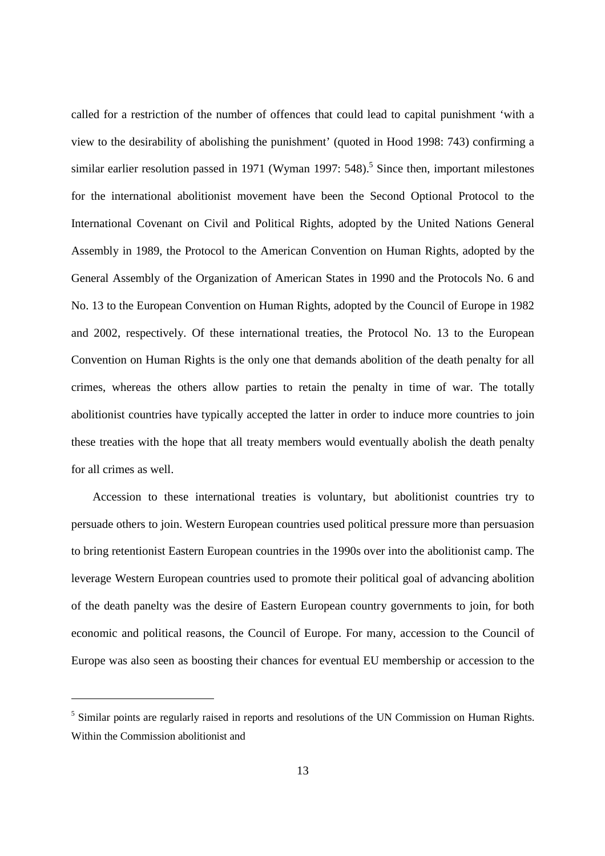called for a restriction of the number of offences that could lead to capital punishment 'with a view to the desirability of abolishing the punishment' (quoted in Hood 1998: 743) confirming a similar earlier resolution passed in 1971 (Wyman 1997:  $548$ ).<sup>5</sup> Since then, important milestones for the international abolitionist movement have been the Second Optional Protocol to the International Covenant on Civil and Political Rights, adopted by the United Nations General Assembly in 1989, the Protocol to the American Convention on Human Rights, adopted by the General Assembly of the Organization of American States in 1990 and the Protocols No. 6 and No. 13 to the European Convention on Human Rights, adopted by the Council of Europe in 1982 and 2002, respectively. Of these international treaties, the Protocol No. 13 to the European Convention on Human Rights is the only one that demands abolition of the death penalty for all crimes, whereas the others allow parties to retain the penalty in time of war. The totally abolitionist countries have typically accepted the latter in order to induce more countries to join these treaties with the hope that all treaty members would eventually abolish the death penalty for all crimes as well.

Accession to these international treaties is voluntary, but abolitionist countries try to persuade others to join. Western European countries used political pressure more than persuasion to bring retentionist Eastern European countries in the 1990s over into the abolitionist camp. The leverage Western European countries used to promote their political goal of advancing abolition of the death panelty was the desire of Eastern European country governments to join, for both economic and political reasons, the Council of Europe. For many, accession to the Council of Europe was also seen as boosting their chances for eventual EU membership or accession to the

<sup>&</sup>lt;sup>5</sup> Similar points are regularly raised in reports and resolutions of the UN Commission on Human Rights. Within the Commission abolitionist and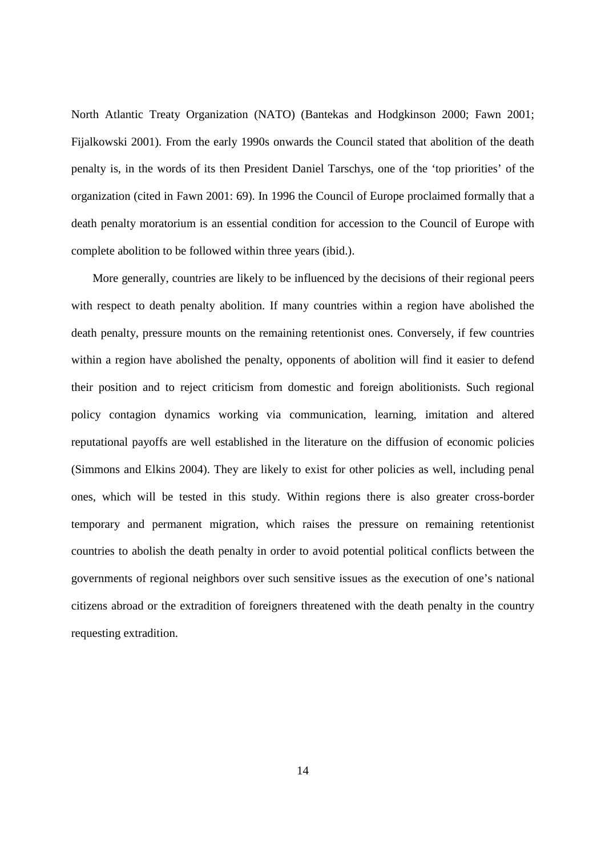North Atlantic Treaty Organization (NATO) (Bantekas and Hodgkinson 2000; Fawn 2001; Fijalkowski 2001). From the early 1990s onwards the Council stated that abolition of the death penalty is, in the words of its then President Daniel Tarschys, one of the 'top priorities' of the organization (cited in Fawn 2001: 69). In 1996 the Council of Europe proclaimed formally that a death penalty moratorium is an essential condition for accession to the Council of Europe with complete abolition to be followed within three years (ibid.).

More generally, countries are likely to be influenced by the decisions of their regional peers with respect to death penalty abolition. If many countries within a region have abolished the death penalty, pressure mounts on the remaining retentionist ones. Conversely, if few countries within a region have abolished the penalty, opponents of abolition will find it easier to defend their position and to reject criticism from domestic and foreign abolitionists. Such regional policy contagion dynamics working via communication, learning, imitation and altered reputational payoffs are well established in the literature on the diffusion of economic policies (Simmons and Elkins 2004). They are likely to exist for other policies as well, including penal ones, which will be tested in this study. Within regions there is also greater cross-border temporary and permanent migration, which raises the pressure on remaining retentionist countries to abolish the death penalty in order to avoid potential political conflicts between the governments of regional neighbors over such sensitive issues as the execution of one's national citizens abroad or the extradition of foreigners threatened with the death penalty in the country requesting extradition.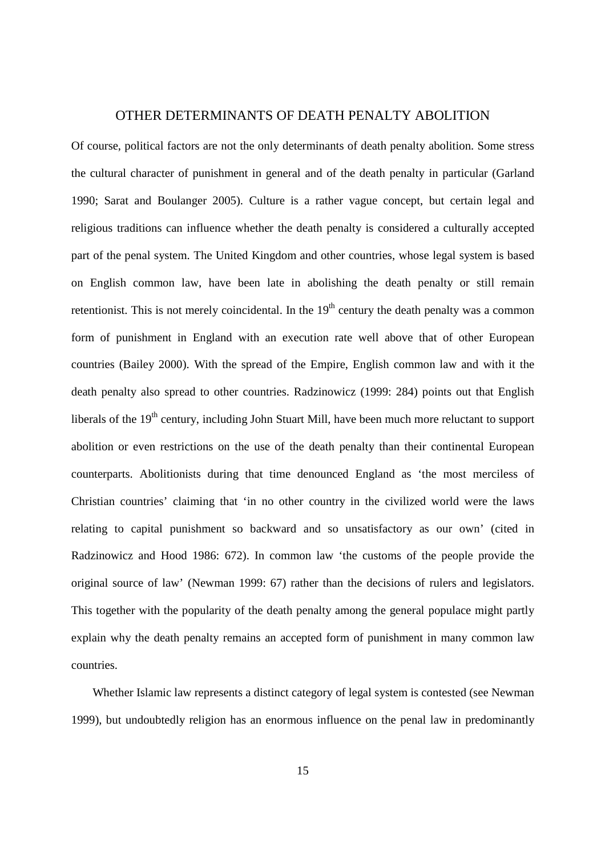#### OTHER DETERMINANTS OF DEATH PENALTY ABOLITION

Of course, political factors are not the only determinants of death penalty abolition. Some stress the cultural character of punishment in general and of the death penalty in particular (Garland 1990; Sarat and Boulanger 2005). Culture is a rather vague concept, but certain legal and religious traditions can influence whether the death penalty is considered a culturally accepted part of the penal system. The United Kingdom and other countries, whose legal system is based on English common law, have been late in abolishing the death penalty or still remain retentionist. This is not merely coincidental. In the  $19<sup>th</sup>$  century the death penalty was a common form of punishment in England with an execution rate well above that of other European countries (Bailey 2000). With the spread of the Empire, English common law and with it the death penalty also spread to other countries. Radzinowicz (1999: 284) points out that English liberals of the  $19<sup>th</sup>$  century, including John Stuart Mill, have been much more reluctant to support abolition or even restrictions on the use of the death penalty than their continental European counterparts. Abolitionists during that time denounced England as 'the most merciless of Christian countries' claiming that 'in no other country in the civilized world were the laws relating to capital punishment so backward and so unsatisfactory as our own' (cited in Radzinowicz and Hood 1986: 672). In common law 'the customs of the people provide the original source of law' (Newman 1999: 67) rather than the decisions of rulers and legislators. This together with the popularity of the death penalty among the general populace might partly explain why the death penalty remains an accepted form of punishment in many common law countries.

Whether Islamic law represents a distinct category of legal system is contested (see Newman 1999), but undoubtedly religion has an enormous influence on the penal law in predominantly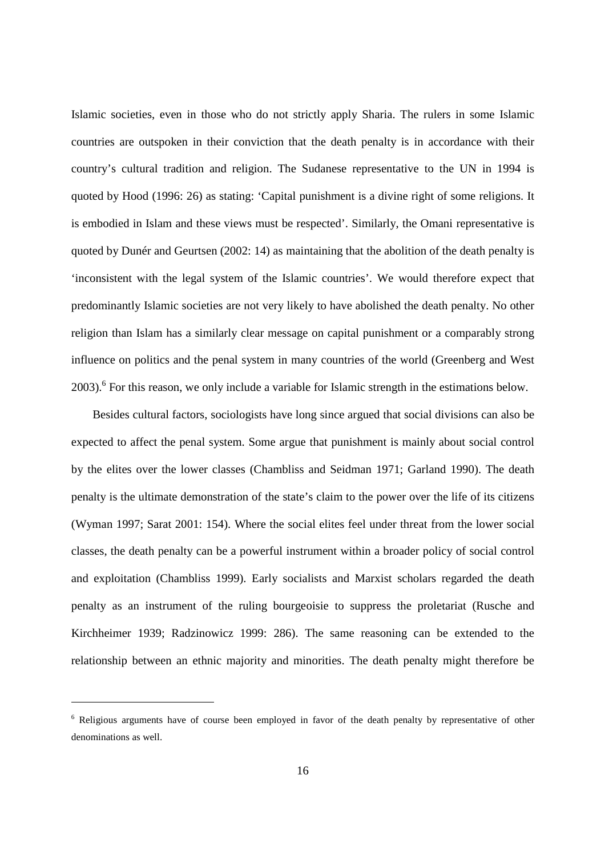Islamic societies, even in those who do not strictly apply Sharia. The rulers in some Islamic countries are outspoken in their conviction that the death penalty is in accordance with their country's cultural tradition and religion. The Sudanese representative to the UN in 1994 is quoted by Hood (1996: 26) as stating: 'Capital punishment is a divine right of some religions. It is embodied in Islam and these views must be respected'. Similarly, the Omani representative is quoted by Dunér and Geurtsen (2002: 14) as maintaining that the abolition of the death penalty is 'inconsistent with the legal system of the Islamic countries'. We would therefore expect that predominantly Islamic societies are not very likely to have abolished the death penalty. No other religion than Islam has a similarly clear message on capital punishment or a comparably strong influence on politics and the penal system in many countries of the world (Greenberg and West 2003).<sup>6</sup> For this reason, we only include a variable for Islamic strength in the estimations below.

Besides cultural factors, sociologists have long since argued that social divisions can also be expected to affect the penal system. Some argue that punishment is mainly about social control by the elites over the lower classes (Chambliss and Seidman 1971; Garland 1990). The death penalty is the ultimate demonstration of the state's claim to the power over the life of its citizens (Wyman 1997; Sarat 2001: 154). Where the social elites feel under threat from the lower social classes, the death penalty can be a powerful instrument within a broader policy of social control and exploitation (Chambliss 1999). Early socialists and Marxist scholars regarded the death penalty as an instrument of the ruling bourgeoisie to suppress the proletariat (Rusche and Kirchheimer 1939; Radzinowicz 1999: 286). The same reasoning can be extended to the relationship between an ethnic majority and minorities. The death penalty might therefore be

<sup>&</sup>lt;sup>6</sup> Religious arguments have of course been employed in favor of the death penalty by representative of other denominations as well.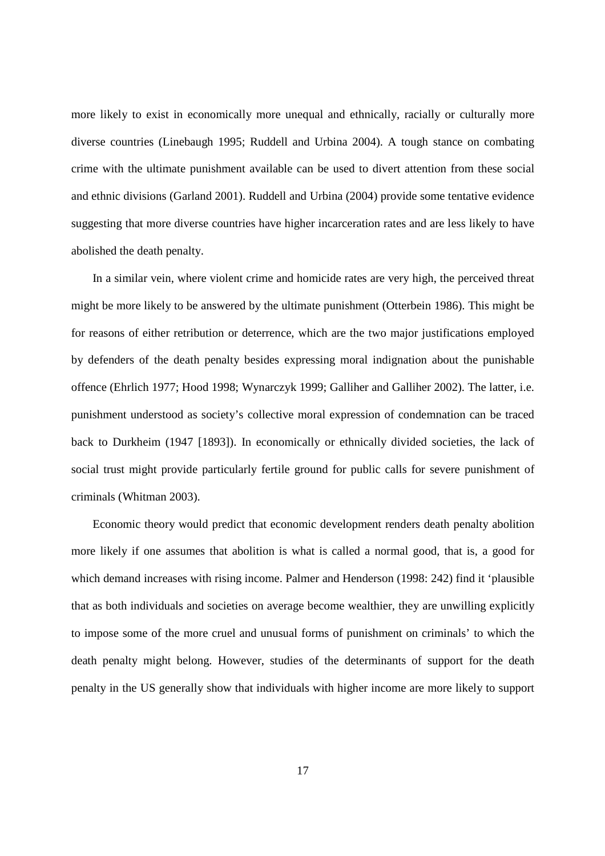more likely to exist in economically more unequal and ethnically, racially or culturally more diverse countries (Linebaugh 1995; Ruddell and Urbina 2004). A tough stance on combating crime with the ultimate punishment available can be used to divert attention from these social and ethnic divisions (Garland 2001). Ruddell and Urbina (2004) provide some tentative evidence suggesting that more diverse countries have higher incarceration rates and are less likely to have abolished the death penalty.

In a similar vein, where violent crime and homicide rates are very high, the perceived threat might be more likely to be answered by the ultimate punishment (Otterbein 1986). This might be for reasons of either retribution or deterrence, which are the two major justifications employed by defenders of the death penalty besides expressing moral indignation about the punishable offence (Ehrlich 1977; Hood 1998; Wynarczyk 1999; Galliher and Galliher 2002). The latter, i.e. punishment understood as society's collective moral expression of condemnation can be traced back to Durkheim (1947 [1893]). In economically or ethnically divided societies, the lack of social trust might provide particularly fertile ground for public calls for severe punishment of criminals (Whitman 2003).

Economic theory would predict that economic development renders death penalty abolition more likely if one assumes that abolition is what is called a normal good, that is, a good for which demand increases with rising income. Palmer and Henderson (1998: 242) find it 'plausible that as both individuals and societies on average become wealthier, they are unwilling explicitly to impose some of the more cruel and unusual forms of punishment on criminals' to which the death penalty might belong. However, studies of the determinants of support for the death penalty in the US generally show that individuals with higher income are more likely to support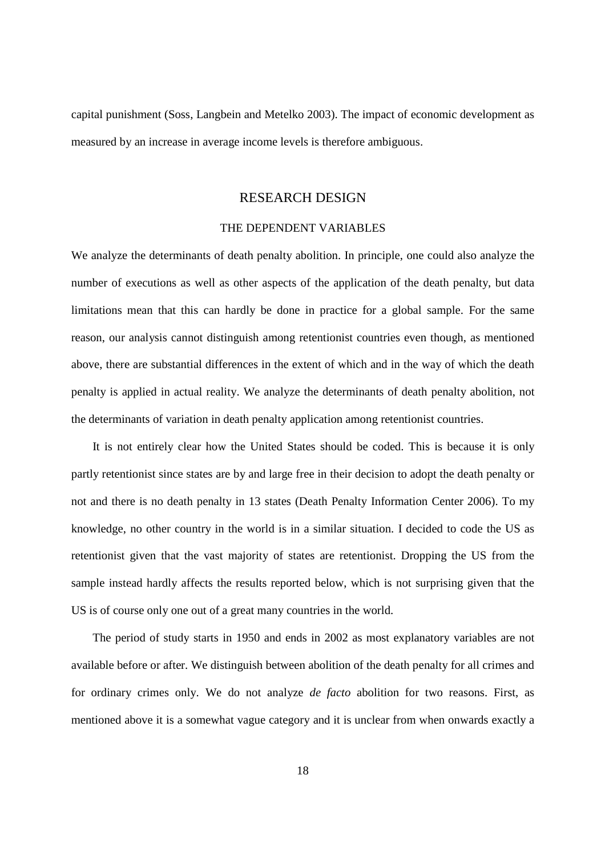capital punishment (Soss, Langbein and Metelko 2003). The impact of economic development as measured by an increase in average income levels is therefore ambiguous.

#### RESEARCH DESIGN

#### THE DEPENDENT VARIABLES

We analyze the determinants of death penalty abolition. In principle, one could also analyze the number of executions as well as other aspects of the application of the death penalty, but data limitations mean that this can hardly be done in practice for a global sample. For the same reason, our analysis cannot distinguish among retentionist countries even though, as mentioned above, there are substantial differences in the extent of which and in the way of which the death penalty is applied in actual reality. We analyze the determinants of death penalty abolition, not the determinants of variation in death penalty application among retentionist countries.

It is not entirely clear how the United States should be coded. This is because it is only partly retentionist since states are by and large free in their decision to adopt the death penalty or not and there is no death penalty in 13 states (Death Penalty Information Center 2006). To my knowledge, no other country in the world is in a similar situation. I decided to code the US as retentionist given that the vast majority of states are retentionist. Dropping the US from the sample instead hardly affects the results reported below, which is not surprising given that the US is of course only one out of a great many countries in the world.

The period of study starts in 1950 and ends in 2002 as most explanatory variables are not available before or after. We distinguish between abolition of the death penalty for all crimes and for ordinary crimes only. We do not analyze *de facto* abolition for two reasons. First, as mentioned above it is a somewhat vague category and it is unclear from when onwards exactly a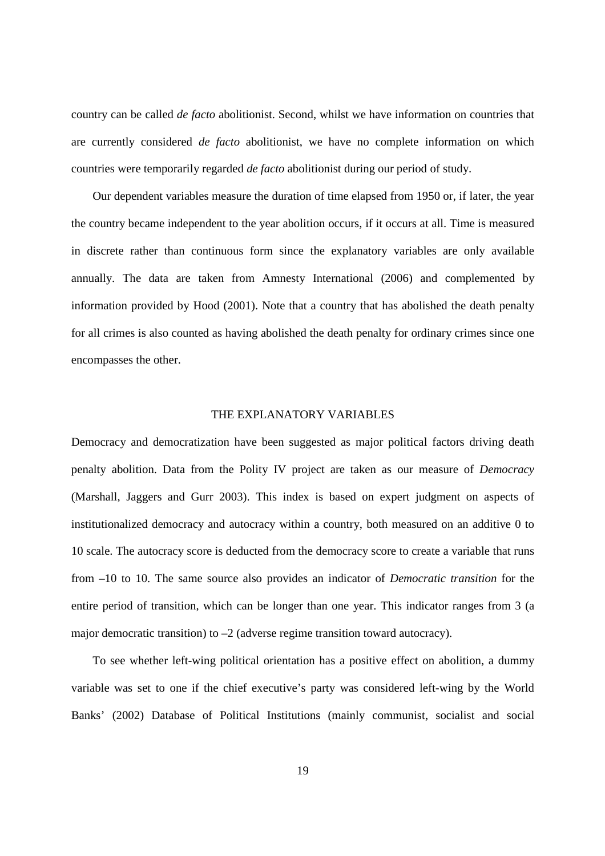country can be called *de facto* abolitionist. Second, whilst we have information on countries that are currently considered *de facto* abolitionist, we have no complete information on which countries were temporarily regarded *de facto* abolitionist during our period of study.

Our dependent variables measure the duration of time elapsed from 1950 or, if later, the year the country became independent to the year abolition occurs, if it occurs at all. Time is measured in discrete rather than continuous form since the explanatory variables are only available annually. The data are taken from Amnesty International (2006) and complemented by information provided by Hood (2001). Note that a country that has abolished the death penalty for all crimes is also counted as having abolished the death penalty for ordinary crimes since one encompasses the other.

#### THE EXPLANATORY VARIABLES

Democracy and democratization have been suggested as major political factors driving death penalty abolition. Data from the Polity IV project are taken as our measure of *Democracy* (Marshall, Jaggers and Gurr 2003). This index is based on expert judgment on aspects of institutionalized democracy and autocracy within a country, both measured on an additive 0 to 10 scale. The autocracy score is deducted from the democracy score to create a variable that runs from –10 to 10. The same source also provides an indicator of *Democratic transition* for the entire period of transition, which can be longer than one year. This indicator ranges from 3 (a major democratic transition) to  $-2$  (adverse regime transition toward autocracy).

To see whether left-wing political orientation has a positive effect on abolition, a dummy variable was set to one if the chief executive's party was considered left-wing by the World Banks' (2002) Database of Political Institutions (mainly communist, socialist and social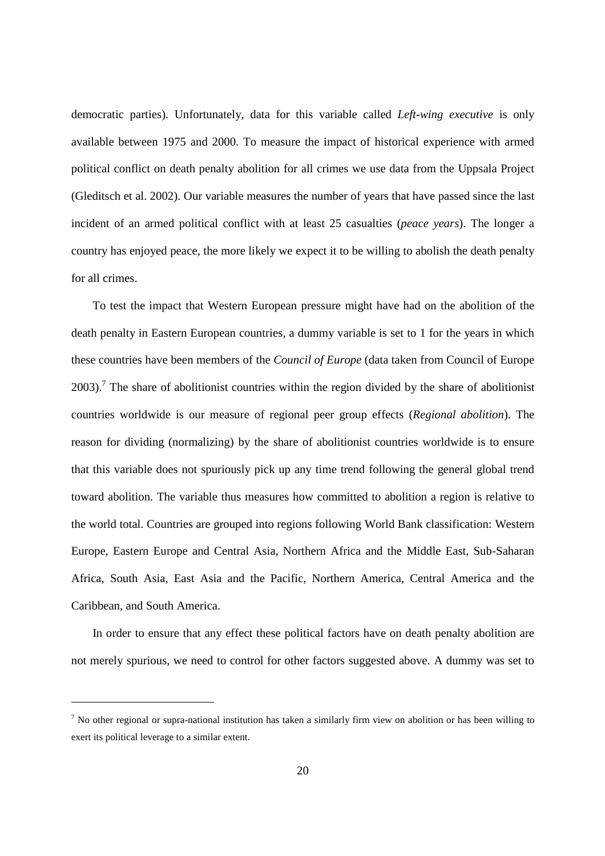democratic parties). Unfortunately, data for this variable called *Left-wing executive* is only available between 1975 and 2000. To measure the impact of historical experience with armed political conflict on death penalty abolition for all crimes we use data from the Uppsala Project (Gleditsch et al. 2002). Our variable measures the number of years that have passed since the last incident of an armed political conflict with at least 25 casualties (*peace years*). The longer a country has enjoyed peace, the more likely we expect it to be willing to abolish the death penalty for all crimes.

To test the impact that Western European pressure might have had on the abolition of the death penalty in Eastern European countries, a dummy variable is set to 1 for the years in which these countries have been members of the *Council of Europe* (data taken from Council of Europe 2003).<sup>7</sup> The share of abolitionist countries within the region divided by the share of abolitionist countries worldwide is our measure of regional peer group effects (*Regional abolition*). The reason for dividing (normalizing) by the share of abolitionist countries worldwide is to ensure that this variable does not spuriously pick up any time trend following the general global trend toward abolition. The variable thus measures how committed to abolition a region is relative to the world total. Countries are grouped into regions following World Bank classification: Western Europe, Eastern Europe and Central Asia, Northern Africa and the Middle East, Sub-Saharan Africa, South Asia, East Asia and the Pacific, Northern America, Central America and the Caribbean, and South America.

In order to ensure that any effect these political factors have on death penalty abolition are not merely spurious, we need to control for other factors suggested above. A dummy was set to

 $<sup>7</sup>$  No other regional or supra-national institution has taken a similarly firm view on abolition or has been willing to</sup> exert its political leverage to a similar extent.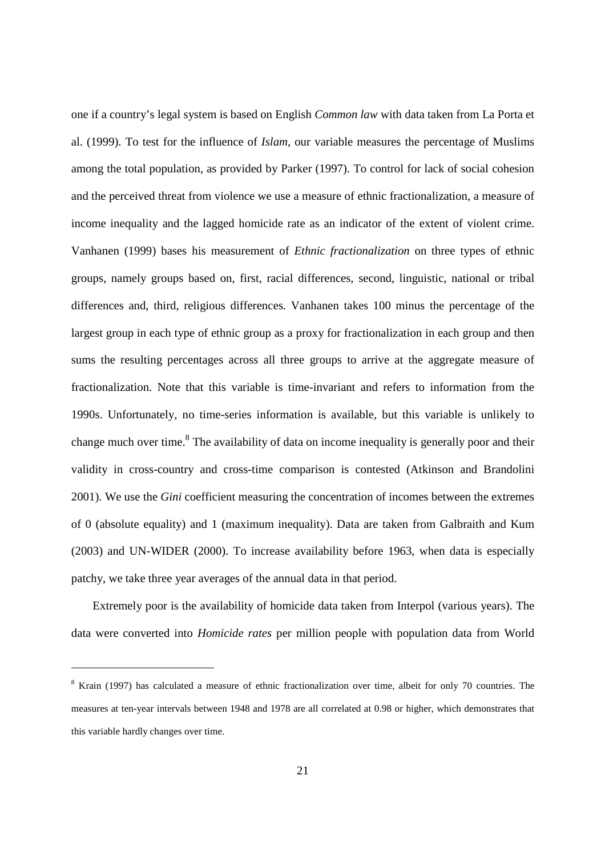one if a country's legal system is based on English *Common law* with data taken from La Porta et al. (1999). To test for the influence of *Islam*, our variable measures the percentage of Muslims among the total population, as provided by Parker (1997). To control for lack of social cohesion and the perceived threat from violence we use a measure of ethnic fractionalization, a measure of income inequality and the lagged homicide rate as an indicator of the extent of violent crime. Vanhanen (1999) bases his measurement of *Ethnic fractionalization* on three types of ethnic groups, namely groups based on, first, racial differences, second, linguistic, national or tribal differences and, third, religious differences. Vanhanen takes 100 minus the percentage of the largest group in each type of ethnic group as a proxy for fractionalization in each group and then sums the resulting percentages across all three groups to arrive at the aggregate measure of fractionalization. Note that this variable is time-invariant and refers to information from the 1990s. Unfortunately, no time-series information is available, but this variable is unlikely to change much over time.<sup>8</sup> The availability of data on income inequality is generally poor and their validity in cross-country and cross-time comparison is contested (Atkinson and Brandolini 2001). We use the *Gini* coefficient measuring the concentration of incomes between the extremes of 0 (absolute equality) and 1 (maximum inequality). Data are taken from Galbraith and Kum (2003) and UN-WIDER (2000). To increase availability before 1963, when data is especially patchy, we take three year averages of the annual data in that period.

Extremely poor is the availability of homicide data taken from Interpol (various years). The data were converted into *Homicide rates* per million people with population data from World

 $8$  Krain (1997) has calculated a measure of ethnic fractionalization over time, albeit for only 70 countries. The measures at ten-year intervals between 1948 and 1978 are all correlated at 0.98 or higher, which demonstrates that this variable hardly changes over time.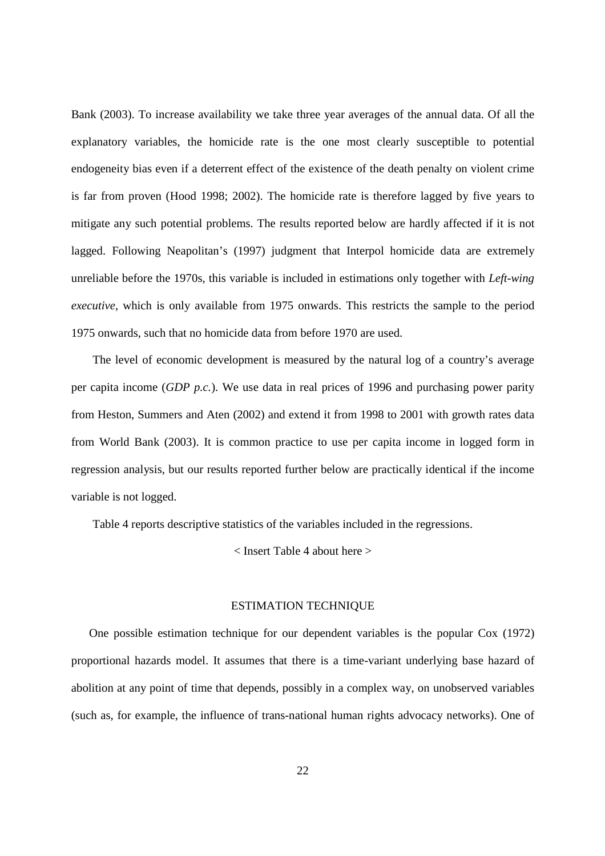Bank (2003). To increase availability we take three year averages of the annual data. Of all the explanatory variables, the homicide rate is the one most clearly susceptible to potential endogeneity bias even if a deterrent effect of the existence of the death penalty on violent crime is far from proven (Hood 1998; 2002). The homicide rate is therefore lagged by five years to mitigate any such potential problems. The results reported below are hardly affected if it is not lagged. Following Neapolitan's (1997) judgment that Interpol homicide data are extremely unreliable before the 1970s, this variable is included in estimations only together with *Left-wing executive*, which is only available from 1975 onwards. This restricts the sample to the period 1975 onwards, such that no homicide data from before 1970 are used.

The level of economic development is measured by the natural log of a country's average per capita income (*GDP p.c.*). We use data in real prices of 1996 and purchasing power parity from Heston, Summers and Aten (2002) and extend it from 1998 to 2001 with growth rates data from World Bank (2003). It is common practice to use per capita income in logged form in regression analysis, but our results reported further below are practically identical if the income variable is not logged.

Table 4 reports descriptive statistics of the variables included in the regressions.

< Insert Table 4 about here >

#### ESTIMATION TECHNIQUE

One possible estimation technique for our dependent variables is the popular Cox (1972) proportional hazards model. It assumes that there is a time-variant underlying base hazard of abolition at any point of time that depends, possibly in a complex way, on unobserved variables (such as, for example, the influence of trans-national human rights advocacy networks). One of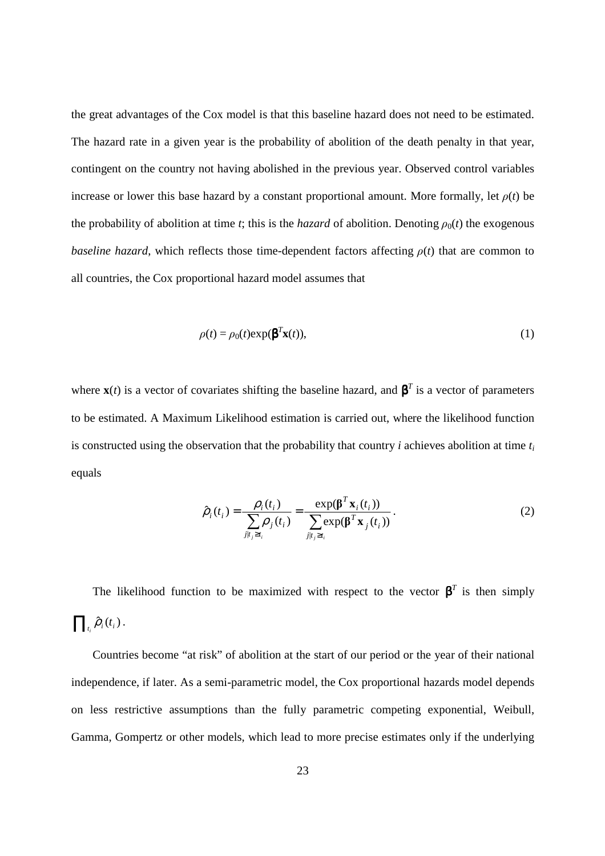the great advantages of the Cox model is that this baseline hazard does not need to be estimated. The hazard rate in a given year is the probability of abolition of the death penalty in that year, contingent on the country not having abolished in the previous year. Observed control variables increase or lower this base hazard by a constant proportional amount. More formally, let  $\rho(t)$  be the probability of abolition at time *t*; this is the *hazard* of abolition. Denoting  $\rho_0(t)$  the exogenous *baseline hazard*, which reflects those time-dependent factors affecting  $\rho(t)$  that are common to all countries, the Cox proportional hazard model assumes that

$$
\rho(t) = \rho_0(t) \exp(\beta^T \mathbf{x}(t)),\tag{1}
$$

where  $\mathbf{x}(t)$  is a vector of covariates shifting the baseline hazard, and  $\boldsymbol{\beta}^T$  is a vector of parameters to be estimated. A Maximum Likelihood estimation is carried out, where the likelihood function is constructed using the observation that the probability that country *i* achieves abolition at time *t<sup>i</sup>* equals

$$
\hat{\rho}_i(t_i) = \frac{\rho_i(t_i)}{\sum_{j|t_j \ge t_i} \rho_j(t_i)} = \frac{\exp(\boldsymbol{\beta}^T \mathbf{x}_i(t_i))}{\sum_{j|t_j \ge t_i} \exp(\boldsymbol{\beta}^T \mathbf{x}_j(t_i))}.
$$
\n(2)

The likelihood function to be maximized with respect to the vector  $\beta^T$  is then simply  $\prod_{t_i} \hat{\rho}_i(t_i)$ .

Countries become "at risk" of abolition at the start of our period or the year of their national independence, if later. As a semi-parametric model, the Cox proportional hazards model depends on less restrictive assumptions than the fully parametric competing exponential, Weibull, Gamma, Gompertz or other models, which lead to more precise estimates only if the underlying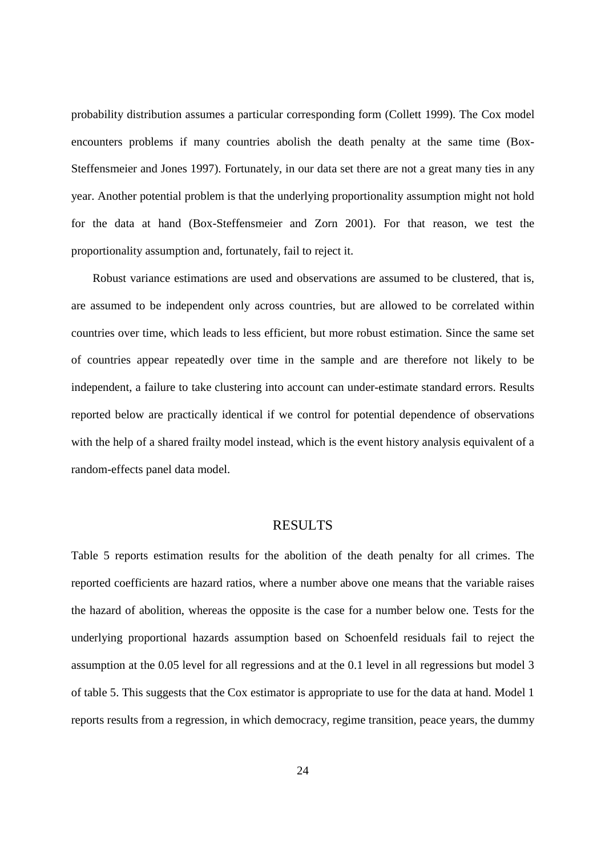probability distribution assumes a particular corresponding form (Collett 1999). The Cox model encounters problems if many countries abolish the death penalty at the same time (Box-Steffensmeier and Jones 1997). Fortunately, in our data set there are not a great many ties in any year. Another potential problem is that the underlying proportionality assumption might not hold for the data at hand (Box-Steffensmeier and Zorn 2001). For that reason, we test the proportionality assumption and, fortunately, fail to reject it.

Robust variance estimations are used and observations are assumed to be clustered, that is, are assumed to be independent only across countries, but are allowed to be correlated within countries over time, which leads to less efficient, but more robust estimation. Since the same set of countries appear repeatedly over time in the sample and are therefore not likely to be independent, a failure to take clustering into account can under-estimate standard errors. Results reported below are practically identical if we control for potential dependence of observations with the help of a shared frailty model instead, which is the event history analysis equivalent of a random-effects panel data model.

#### RESULTS

Table 5 reports estimation results for the abolition of the death penalty for all crimes. The reported coefficients are hazard ratios, where a number above one means that the variable raises the hazard of abolition, whereas the opposite is the case for a number below one. Tests for the underlying proportional hazards assumption based on Schoenfeld residuals fail to reject the assumption at the 0.05 level for all regressions and at the 0.1 level in all regressions but model 3 of table 5. This suggests that the Cox estimator is appropriate to use for the data at hand. Model 1 reports results from a regression, in which democracy, regime transition, peace years, the dummy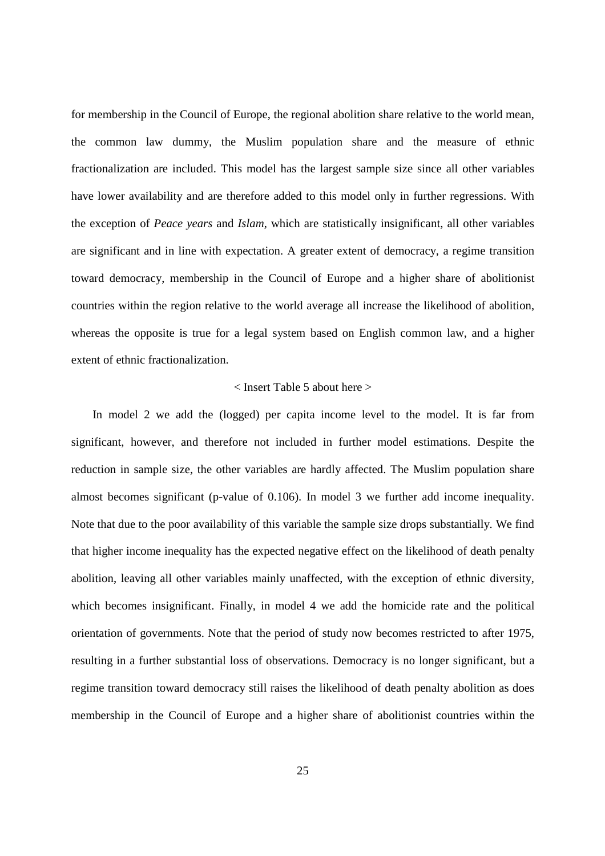for membership in the Council of Europe, the regional abolition share relative to the world mean, the common law dummy, the Muslim population share and the measure of ethnic fractionalization are included. This model has the largest sample size since all other variables have lower availability and are therefore added to this model only in further regressions. With the exception of *Peace years* and *Islam*, which are statistically insignificant, all other variables are significant and in line with expectation. A greater extent of democracy, a regime transition toward democracy, membership in the Council of Europe and a higher share of abolitionist countries within the region relative to the world average all increase the likelihood of abolition, whereas the opposite is true for a legal system based on English common law, and a higher extent of ethnic fractionalization.

#### < Insert Table 5 about here >

In model 2 we add the (logged) per capita income level to the model. It is far from significant, however, and therefore not included in further model estimations. Despite the reduction in sample size, the other variables are hardly affected. The Muslim population share almost becomes significant (p-value of 0.106). In model 3 we further add income inequality. Note that due to the poor availability of this variable the sample size drops substantially. We find that higher income inequality has the expected negative effect on the likelihood of death penalty abolition, leaving all other variables mainly unaffected, with the exception of ethnic diversity, which becomes insignificant. Finally, in model 4 we add the homicide rate and the political orientation of governments. Note that the period of study now becomes restricted to after 1975, resulting in a further substantial loss of observations. Democracy is no longer significant, but a regime transition toward democracy still raises the likelihood of death penalty abolition as does membership in the Council of Europe and a higher share of abolitionist countries within the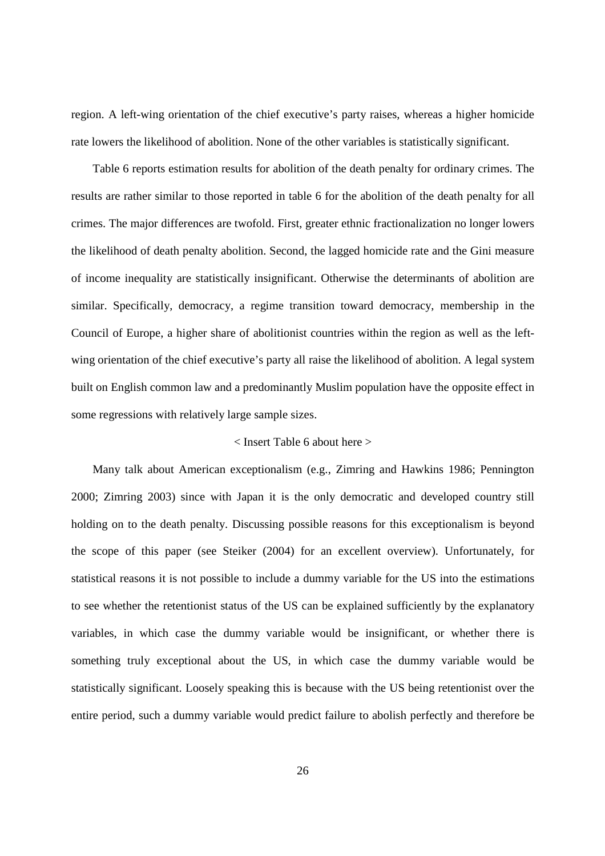region. A left-wing orientation of the chief executive's party raises, whereas a higher homicide rate lowers the likelihood of abolition. None of the other variables is statistically significant.

Table 6 reports estimation results for abolition of the death penalty for ordinary crimes. The results are rather similar to those reported in table 6 for the abolition of the death penalty for all crimes. The major differences are twofold. First, greater ethnic fractionalization no longer lowers the likelihood of death penalty abolition. Second, the lagged homicide rate and the Gini measure of income inequality are statistically insignificant. Otherwise the determinants of abolition are similar. Specifically, democracy, a regime transition toward democracy, membership in the Council of Europe, a higher share of abolitionist countries within the region as well as the leftwing orientation of the chief executive's party all raise the likelihood of abolition. A legal system built on English common law and a predominantly Muslim population have the opposite effect in some regressions with relatively large sample sizes.

#### < Insert Table 6 about here >

Many talk about American exceptionalism (e.g., Zimring and Hawkins 1986; Pennington 2000; Zimring 2003) since with Japan it is the only democratic and developed country still holding on to the death penalty. Discussing possible reasons for this exceptionalism is beyond the scope of this paper (see Steiker (2004) for an excellent overview). Unfortunately, for statistical reasons it is not possible to include a dummy variable for the US into the estimations to see whether the retentionist status of the US can be explained sufficiently by the explanatory variables, in which case the dummy variable would be insignificant, or whether there is something truly exceptional about the US, in which case the dummy variable would be statistically significant. Loosely speaking this is because with the US being retentionist over the entire period, such a dummy variable would predict failure to abolish perfectly and therefore be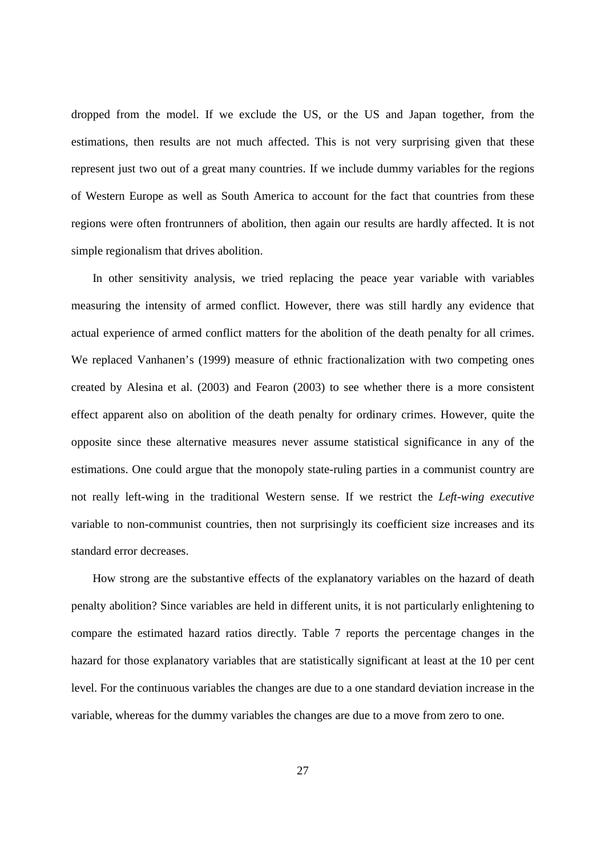dropped from the model. If we exclude the US, or the US and Japan together, from the estimations, then results are not much affected. This is not very surprising given that these represent just two out of a great many countries. If we include dummy variables for the regions of Western Europe as well as South America to account for the fact that countries from these regions were often frontrunners of abolition, then again our results are hardly affected. It is not simple regionalism that drives abolition.

In other sensitivity analysis, we tried replacing the peace year variable with variables measuring the intensity of armed conflict. However, there was still hardly any evidence that actual experience of armed conflict matters for the abolition of the death penalty for all crimes. We replaced Vanhanen's (1999) measure of ethnic fractionalization with two competing ones created by Alesina et al. (2003) and Fearon (2003) to see whether there is a more consistent effect apparent also on abolition of the death penalty for ordinary crimes. However, quite the opposite since these alternative measures never assume statistical significance in any of the estimations. One could argue that the monopoly state-ruling parties in a communist country are not really left-wing in the traditional Western sense. If we restrict the *Left-wing executive* variable to non-communist countries, then not surprisingly its coefficient size increases and its standard error decreases.

How strong are the substantive effects of the explanatory variables on the hazard of death penalty abolition? Since variables are held in different units, it is not particularly enlightening to compare the estimated hazard ratios directly. Table 7 reports the percentage changes in the hazard for those explanatory variables that are statistically significant at least at the 10 per cent level. For the continuous variables the changes are due to a one standard deviation increase in the variable, whereas for the dummy variables the changes are due to a move from zero to one.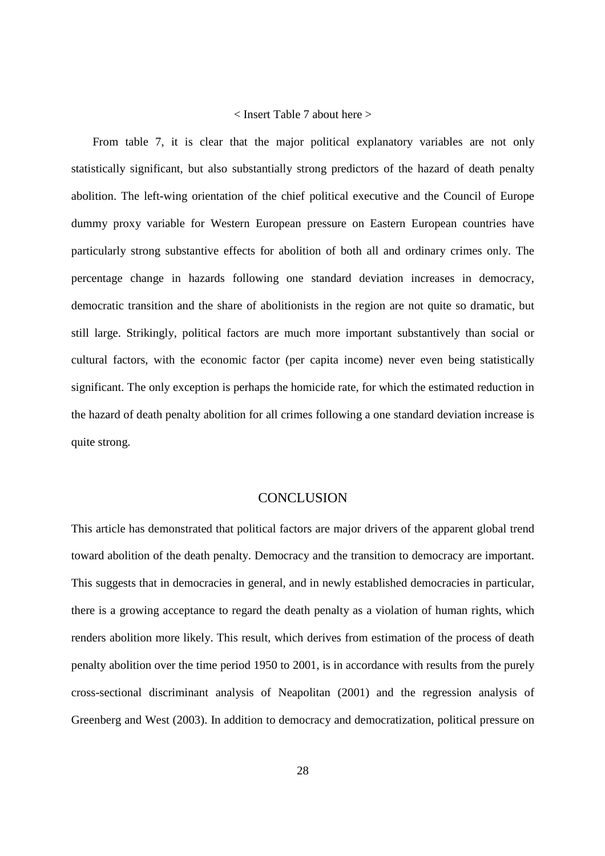#### < Insert Table 7 about here >

From table 7, it is clear that the major political explanatory variables are not only statistically significant, but also substantially strong predictors of the hazard of death penalty abolition. The left-wing orientation of the chief political executive and the Council of Europe dummy proxy variable for Western European pressure on Eastern European countries have particularly strong substantive effects for abolition of both all and ordinary crimes only. The percentage change in hazards following one standard deviation increases in democracy, democratic transition and the share of abolitionists in the region are not quite so dramatic, but still large. Strikingly, political factors are much more important substantively than social or cultural factors, with the economic factor (per capita income) never even being statistically significant. The only exception is perhaps the homicide rate, for which the estimated reduction in the hazard of death penalty abolition for all crimes following a one standard deviation increase is quite strong.

#### **CONCLUSION**

This article has demonstrated that political factors are major drivers of the apparent global trend toward abolition of the death penalty. Democracy and the transition to democracy are important. This suggests that in democracies in general, and in newly established democracies in particular, there is a growing acceptance to regard the death penalty as a violation of human rights, which renders abolition more likely. This result, which derives from estimation of the process of death penalty abolition over the time period 1950 to 2001, is in accordance with results from the purely cross-sectional discriminant analysis of Neapolitan (2001) and the regression analysis of Greenberg and West (2003). In addition to democracy and democratization, political pressure on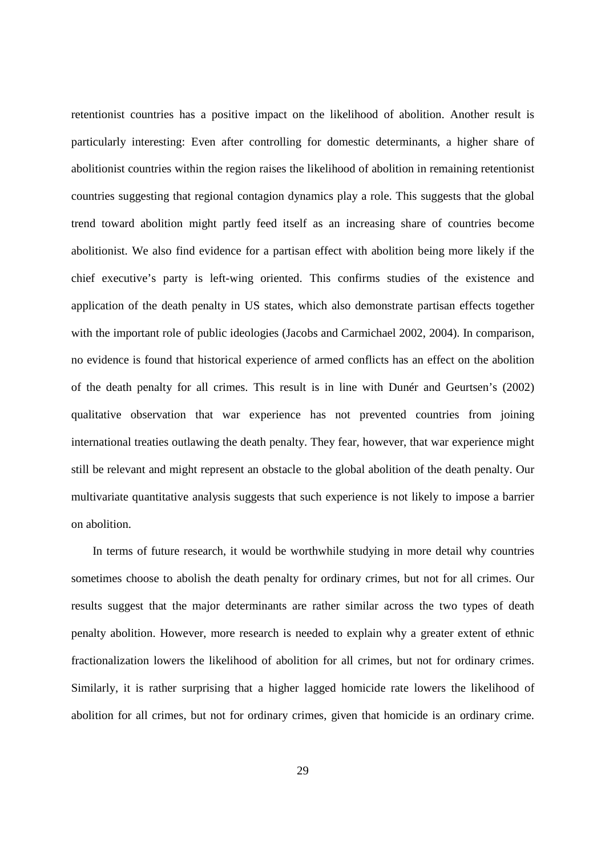retentionist countries has a positive impact on the likelihood of abolition. Another result is particularly interesting: Even after controlling for domestic determinants, a higher share of abolitionist countries within the region raises the likelihood of abolition in remaining retentionist countries suggesting that regional contagion dynamics play a role. This suggests that the global trend toward abolition might partly feed itself as an increasing share of countries become abolitionist. We also find evidence for a partisan effect with abolition being more likely if the chief executive's party is left-wing oriented. This confirms studies of the existence and application of the death penalty in US states, which also demonstrate partisan effects together with the important role of public ideologies (Jacobs and Carmichael 2002, 2004). In comparison, no evidence is found that historical experience of armed conflicts has an effect on the abolition of the death penalty for all crimes. This result is in line with Dunér and Geurtsen's (2002) qualitative observation that war experience has not prevented countries from joining international treaties outlawing the death penalty. They fear, however, that war experience might still be relevant and might represent an obstacle to the global abolition of the death penalty. Our multivariate quantitative analysis suggests that such experience is not likely to impose a barrier on abolition.

In terms of future research, it would be worthwhile studying in more detail why countries sometimes choose to abolish the death penalty for ordinary crimes, but not for all crimes. Our results suggest that the major determinants are rather similar across the two types of death penalty abolition. However, more research is needed to explain why a greater extent of ethnic fractionalization lowers the likelihood of abolition for all crimes, but not for ordinary crimes. Similarly, it is rather surprising that a higher lagged homicide rate lowers the likelihood of abolition for all crimes, but not for ordinary crimes, given that homicide is an ordinary crime.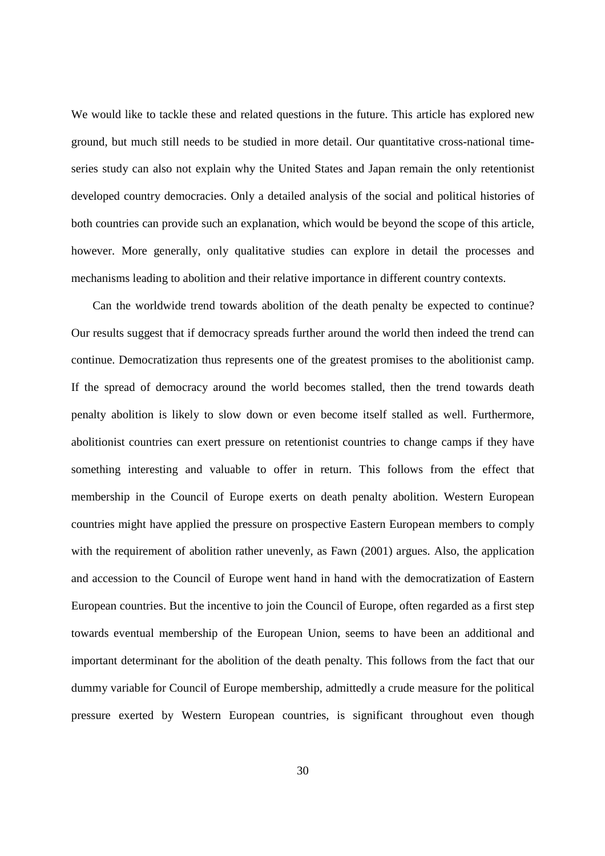We would like to tackle these and related questions in the future. This article has explored new ground, but much still needs to be studied in more detail. Our quantitative cross-national timeseries study can also not explain why the United States and Japan remain the only retentionist developed country democracies. Only a detailed analysis of the social and political histories of both countries can provide such an explanation, which would be beyond the scope of this article, however. More generally, only qualitative studies can explore in detail the processes and mechanisms leading to abolition and their relative importance in different country contexts.

Can the worldwide trend towards abolition of the death penalty be expected to continue? Our results suggest that if democracy spreads further around the world then indeed the trend can continue. Democratization thus represents one of the greatest promises to the abolitionist camp. If the spread of democracy around the world becomes stalled, then the trend towards death penalty abolition is likely to slow down or even become itself stalled as well. Furthermore, abolitionist countries can exert pressure on retentionist countries to change camps if they have something interesting and valuable to offer in return. This follows from the effect that membership in the Council of Europe exerts on death penalty abolition. Western European countries might have applied the pressure on prospective Eastern European members to comply with the requirement of abolition rather unevenly, as Fawn (2001) argues. Also, the application and accession to the Council of Europe went hand in hand with the democratization of Eastern European countries. But the incentive to join the Council of Europe, often regarded as a first step towards eventual membership of the European Union, seems to have been an additional and important determinant for the abolition of the death penalty. This follows from the fact that our dummy variable for Council of Europe membership, admittedly a crude measure for the political pressure exerted by Western European countries, is significant throughout even though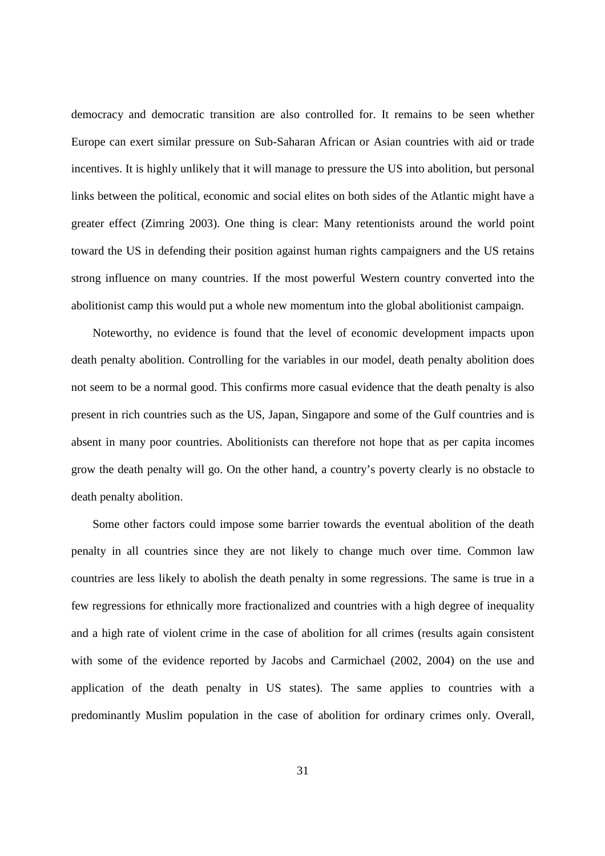democracy and democratic transition are also controlled for. It remains to be seen whether Europe can exert similar pressure on Sub-Saharan African or Asian countries with aid or trade incentives. It is highly unlikely that it will manage to pressure the US into abolition, but personal links between the political, economic and social elites on both sides of the Atlantic might have a greater effect (Zimring 2003). One thing is clear: Many retentionists around the world point toward the US in defending their position against human rights campaigners and the US retains strong influence on many countries. If the most powerful Western country converted into the abolitionist camp this would put a whole new momentum into the global abolitionist campaign.

Noteworthy, no evidence is found that the level of economic development impacts upon death penalty abolition. Controlling for the variables in our model, death penalty abolition does not seem to be a normal good. This confirms more casual evidence that the death penalty is also present in rich countries such as the US, Japan, Singapore and some of the Gulf countries and is absent in many poor countries. Abolitionists can therefore not hope that as per capita incomes grow the death penalty will go. On the other hand, a country's poverty clearly is no obstacle to death penalty abolition.

Some other factors could impose some barrier towards the eventual abolition of the death penalty in all countries since they are not likely to change much over time. Common law countries are less likely to abolish the death penalty in some regressions. The same is true in a few regressions for ethnically more fractionalized and countries with a high degree of inequality and a high rate of violent crime in the case of abolition for all crimes (results again consistent with some of the evidence reported by Jacobs and Carmichael (2002, 2004) on the use and application of the death penalty in US states). The same applies to countries with a predominantly Muslim population in the case of abolition for ordinary crimes only. Overall,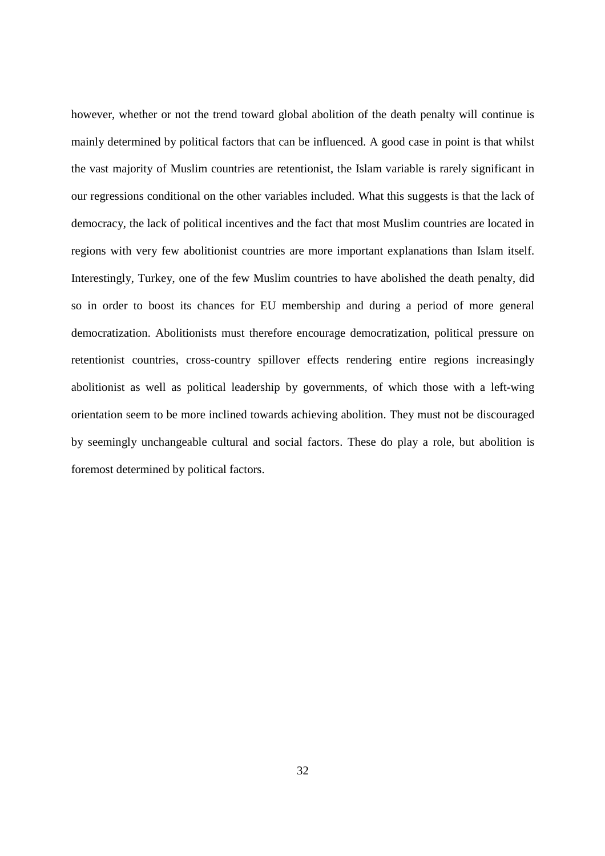however, whether or not the trend toward global abolition of the death penalty will continue is mainly determined by political factors that can be influenced. A good case in point is that whilst the vast majority of Muslim countries are retentionist, the Islam variable is rarely significant in our regressions conditional on the other variables included. What this suggests is that the lack of democracy, the lack of political incentives and the fact that most Muslim countries are located in regions with very few abolitionist countries are more important explanations than Islam itself. Interestingly, Turkey, one of the few Muslim countries to have abolished the death penalty, did so in order to boost its chances for EU membership and during a period of more general democratization. Abolitionists must therefore encourage democratization, political pressure on retentionist countries, cross-country spillover effects rendering entire regions increasingly abolitionist as well as political leadership by governments, of which those with a left-wing orientation seem to be more inclined towards achieving abolition. They must not be discouraged by seemingly unchangeable cultural and social factors. These do play a role, but abolition is foremost determined by political factors.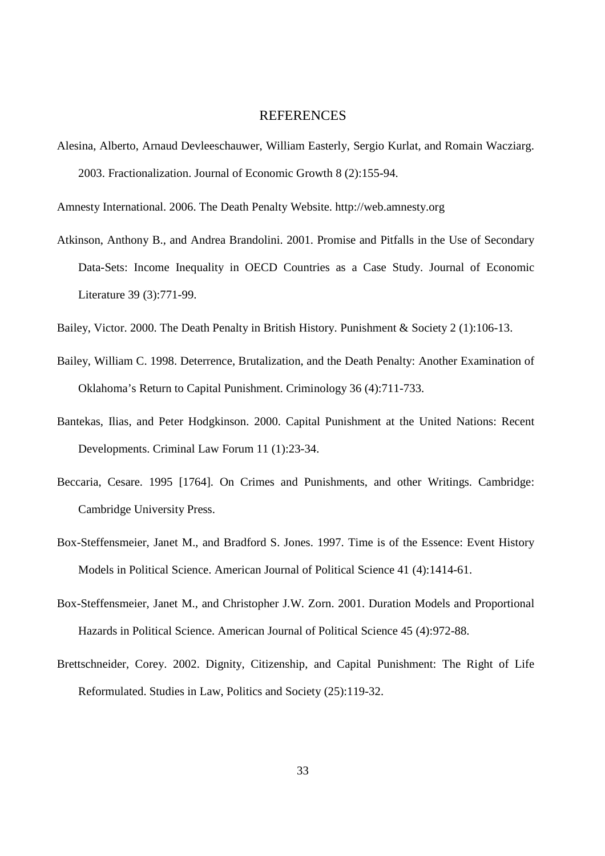#### REFERENCES

Alesina, Alberto, Arnaud Devleeschauwer, William Easterly, Sergio Kurlat, and Romain Wacziarg. 2003. Fractionalization. Journal of Economic Growth 8 (2):155-94.

Amnesty International. 2006. The Death Penalty Website. http://web.amnesty.org

Atkinson, Anthony B., and Andrea Brandolini. 2001. Promise and Pitfalls in the Use of Secondary Data-Sets: Income Inequality in OECD Countries as a Case Study. Journal of Economic Literature 39 (3):771-99.

Bailey, Victor. 2000. The Death Penalty in British History. Punishment & Society 2 (1):106-13.

- Bailey, William C. 1998. Deterrence, Brutalization, and the Death Penalty: Another Examination of Oklahoma's Return to Capital Punishment. Criminology 36 (4):711-733.
- Bantekas, Ilias, and Peter Hodgkinson. 2000. Capital Punishment at the United Nations: Recent Developments. Criminal Law Forum 11 (1):23-34.
- Beccaria, Cesare. 1995 [1764]. On Crimes and Punishments, and other Writings. Cambridge: Cambridge University Press.
- Box-Steffensmeier, Janet M., and Bradford S. Jones. 1997. Time is of the Essence: Event History Models in Political Science. American Journal of Political Science 41 (4):1414-61.
- Box-Steffensmeier, Janet M., and Christopher J.W. Zorn. 2001. Duration Models and Proportional Hazards in Political Science. American Journal of Political Science 45 (4):972-88.
- Brettschneider, Corey. 2002. Dignity, Citizenship, and Capital Punishment: The Right of Life Reformulated. Studies in Law, Politics and Society (25):119-32.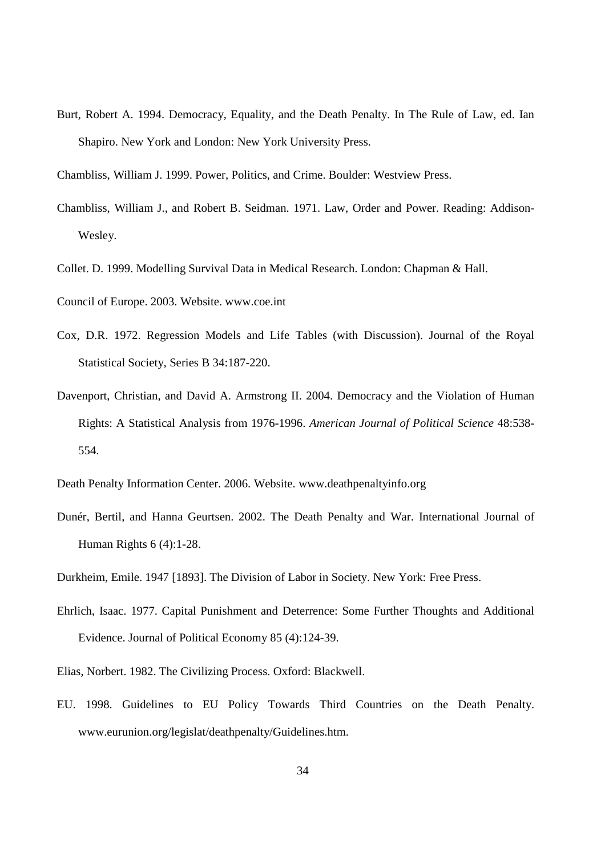- Burt, Robert A. 1994. Democracy, Equality, and the Death Penalty. In The Rule of Law, ed. Ian Shapiro. New York and London: New York University Press.
- Chambliss, William J. 1999. Power, Politics, and Crime. Boulder: Westview Press.
- Chambliss, William J., and Robert B. Seidman. 1971. Law, Order and Power. Reading: Addison-Wesley.
- Collet. D. 1999. Modelling Survival Data in Medical Research. London: Chapman & Hall.

Council of Europe. 2003. Website. www.coe.int

- Cox, D.R. 1972. Regression Models and Life Tables (with Discussion). Journal of the Royal Statistical Society, Series B 34:187-220.
- Davenport, Christian, and David A. Armstrong II. 2004. Democracy and the Violation of Human Rights: A Statistical Analysis from 1976-1996. *American Journal of Political Science* 48:538- 554.

Death Penalty Information Center. 2006. Website. www.deathpenaltyinfo.org

Dunér, Bertil, and Hanna Geurtsen. 2002. The Death Penalty and War. International Journal of Human Rights 6 (4):1-28.

Durkheim, Emile. 1947 [1893]. The Division of Labor in Society. New York: Free Press.

- Ehrlich, Isaac. 1977. Capital Punishment and Deterrence: Some Further Thoughts and Additional Evidence. Journal of Political Economy 85 (4):124-39.
- Elias, Norbert. 1982. The Civilizing Process. Oxford: Blackwell.
- EU. 1998. Guidelines to EU Policy Towards Third Countries on the Death Penalty. www.eurunion.org/legislat/deathpenalty/Guidelines.htm.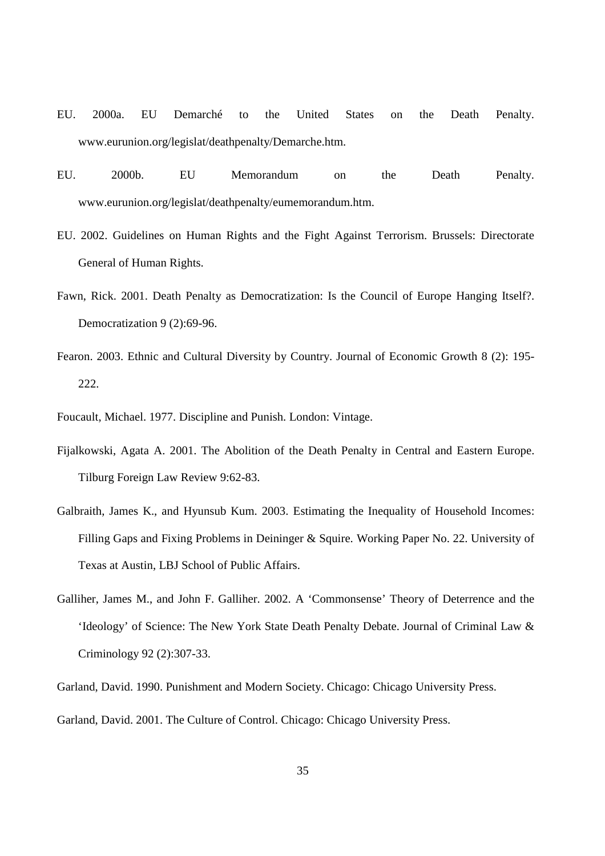- EU. 2000a. EU Demarché to the United States on the Death Penalty. www.eurunion.org/legislat/deathpenalty/Demarche.htm.
- EU. 2000b. EU Memorandum on the Death Penalty. www.eurunion.org/legislat/deathpenalty/eumemorandum.htm.
- EU. 2002. Guidelines on Human Rights and the Fight Against Terrorism. Brussels: Directorate General of Human Rights.
- Fawn, Rick. 2001. Death Penalty as Democratization: Is the Council of Europe Hanging Itself?. Democratization 9 (2):69-96.
- Fearon. 2003. Ethnic and Cultural Diversity by Country. Journal of Economic Growth 8 (2): 195- 222.
- Foucault, Michael. 1977. Discipline and Punish. London: Vintage.
- Fijalkowski, Agata A. 2001. The Abolition of the Death Penalty in Central and Eastern Europe. Tilburg Foreign Law Review 9:62-83.
- Galbraith, James K., and Hyunsub Kum. 2003. Estimating the Inequality of Household Incomes: Filling Gaps and Fixing Problems in Deininger & Squire. Working Paper No. 22. University of Texas at Austin, LBJ School of Public Affairs.
- Galliher, James M., and John F. Galliher. 2002. A 'Commonsense' Theory of Deterrence and the 'Ideology' of Science: The New York State Death Penalty Debate. Journal of Criminal Law & Criminology 92 (2):307-33.
- Garland, David. 1990. Punishment and Modern Society. Chicago: Chicago University Press.
- Garland, David. 2001. The Culture of Control. Chicago: Chicago University Press.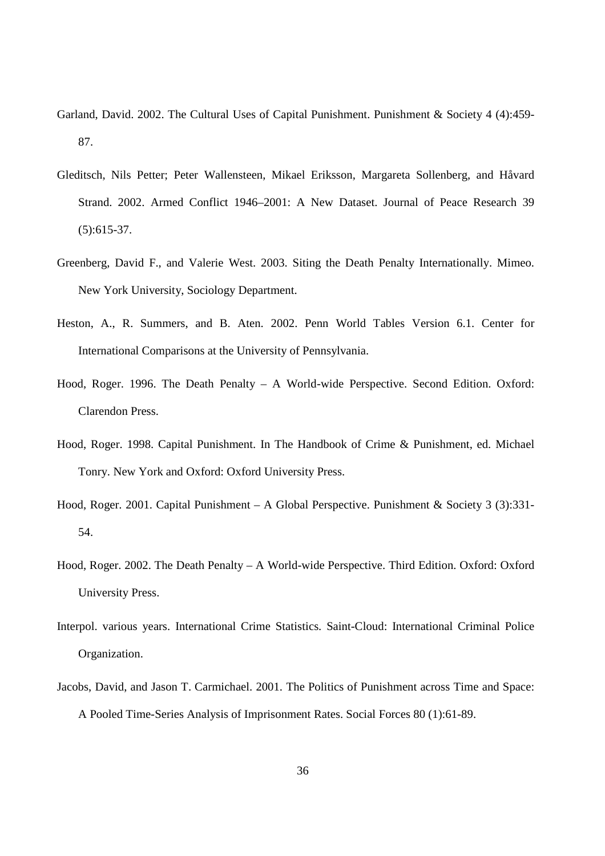- Garland, David. 2002. The Cultural Uses of Capital Punishment. Punishment & Society 4 (4):459- 87.
- Gleditsch, Nils Petter; Peter Wallensteen, Mikael Eriksson, Margareta Sollenberg, and Håvard Strand. 2002. Armed Conflict 1946–2001: A New Dataset. Journal of Peace Research 39 (5):615-37.
- Greenberg, David F., and Valerie West. 2003. Siting the Death Penalty Internationally. Mimeo. New York University, Sociology Department.
- Heston, A., R. Summers, and B. Aten. 2002. Penn World Tables Version 6.1. Center for International Comparisons at the University of Pennsylvania.
- Hood, Roger. 1996. The Death Penalty A World-wide Perspective. Second Edition. Oxford: Clarendon Press.
- Hood, Roger. 1998. Capital Punishment. In The Handbook of Crime & Punishment, ed. Michael Tonry. New York and Oxford: Oxford University Press.
- Hood, Roger. 2001. Capital Punishment A Global Perspective. Punishment & Society 3 (3):331-54.
- Hood, Roger. 2002. The Death Penalty A World-wide Perspective. Third Edition. Oxford: Oxford University Press.
- Interpol. various years. International Crime Statistics. Saint-Cloud: International Criminal Police Organization.
- Jacobs, David, and Jason T. Carmichael. 2001. The Politics of Punishment across Time and Space: A Pooled Time-Series Analysis of Imprisonment Rates. Social Forces 80 (1):61-89.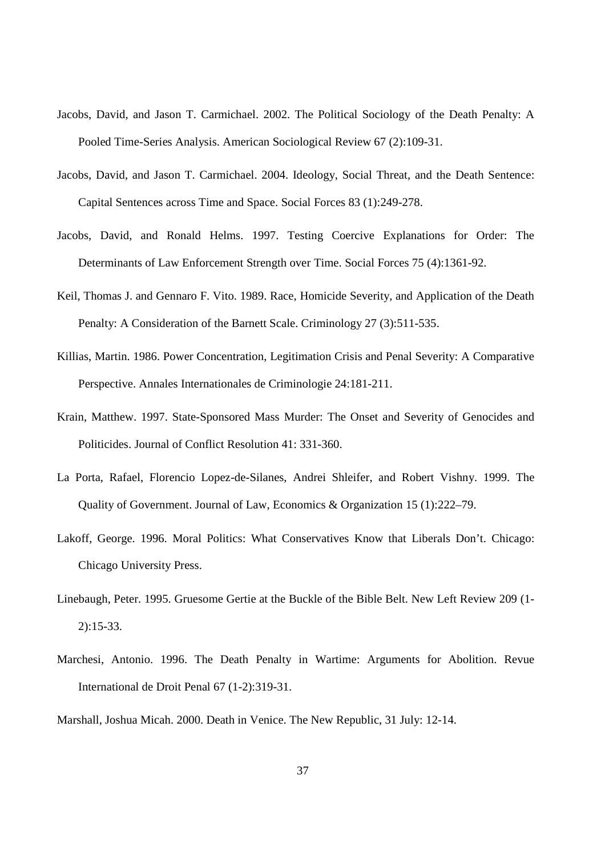- Jacobs, David, and Jason T. Carmichael. 2002. The Political Sociology of the Death Penalty: A Pooled Time-Series Analysis. American Sociological Review 67 (2):109-31.
- Jacobs, David, and Jason T. Carmichael. 2004. Ideology, Social Threat, and the Death Sentence: Capital Sentences across Time and Space. Social Forces 83 (1):249-278.
- Jacobs, David, and Ronald Helms. 1997. Testing Coercive Explanations for Order: The Determinants of Law Enforcement Strength over Time. Social Forces 75 (4):1361-92.
- Keil, Thomas J. and Gennaro F. Vito. 1989. Race, Homicide Severity, and Application of the Death Penalty: A Consideration of the Barnett Scale. Criminology 27 (3):511-535.
- Killias, Martin. 1986. Power Concentration, Legitimation Crisis and Penal Severity: A Comparative Perspective. Annales Internationales de Criminologie 24:181-211.
- Krain, Matthew. 1997. State-Sponsored Mass Murder: The Onset and Severity of Genocides and Politicides. Journal of Conflict Resolution 41: 331-360.
- La Porta, Rafael, Florencio Lopez-de-Silanes, Andrei Shleifer, and Robert Vishny. 1999. The Quality of Government. Journal of Law, Economics & Organization 15 (1):222–79.
- Lakoff, George. 1996. Moral Politics: What Conservatives Know that Liberals Don't. Chicago: Chicago University Press.
- Linebaugh, Peter. 1995. Gruesome Gertie at the Buckle of the Bible Belt. New Left Review 209 (1- 2):15-33.
- Marchesi, Antonio. 1996. The Death Penalty in Wartime: Arguments for Abolition. Revue International de Droit Penal 67 (1-2):319-31.
- Marshall, Joshua Micah. 2000. Death in Venice. The New Republic, 31 July: 12-14.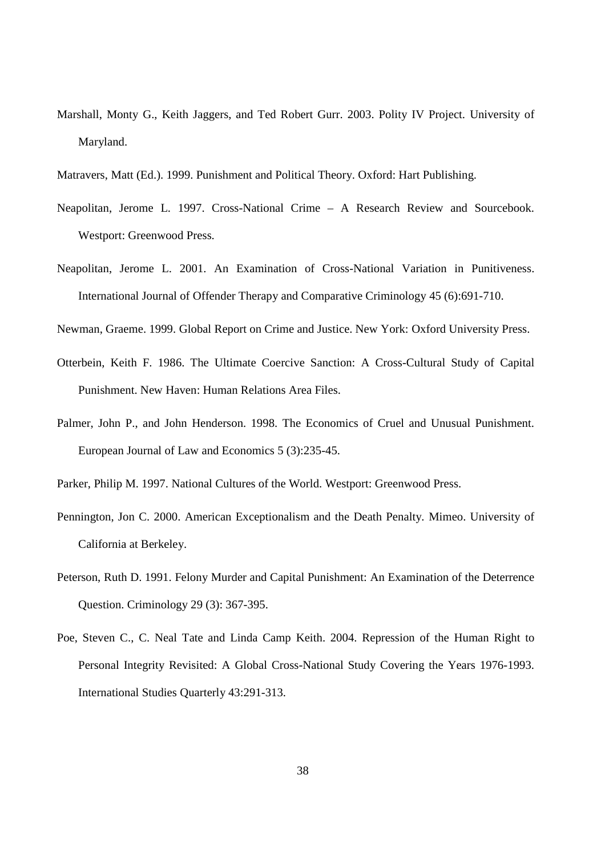- Marshall, Monty G., Keith Jaggers, and Ted Robert Gurr. 2003. Polity IV Project. University of Maryland.
- Matravers, Matt (Ed.). 1999. Punishment and Political Theory. Oxford: Hart Publishing.
- Neapolitan, Jerome L. 1997. Cross-National Crime A Research Review and Sourcebook. Westport: Greenwood Press.
- Neapolitan, Jerome L. 2001. An Examination of Cross-National Variation in Punitiveness. International Journal of Offender Therapy and Comparative Criminology 45 (6):691-710.
- Newman, Graeme. 1999. Global Report on Crime and Justice. New York: Oxford University Press.
- Otterbein, Keith F. 1986. The Ultimate Coercive Sanction: A Cross-Cultural Study of Capital Punishment. New Haven: Human Relations Area Files.
- Palmer, John P., and John Henderson. 1998. The Economics of Cruel and Unusual Punishment. European Journal of Law and Economics 5 (3):235-45.
- Parker, Philip M. 1997. National Cultures of the World. Westport: Greenwood Press.
- Pennington, Jon C. 2000. American Exceptionalism and the Death Penalty. Mimeo. University of California at Berkeley.
- Peterson, Ruth D. 1991. Felony Murder and Capital Punishment: An Examination of the Deterrence Question. Criminology 29 (3): 367-395.
- Poe, Steven C., C. Neal Tate and Linda Camp Keith. 2004. Repression of the Human Right to Personal Integrity Revisited: A Global Cross-National Study Covering the Years 1976-1993. International Studies Quarterly 43:291-313.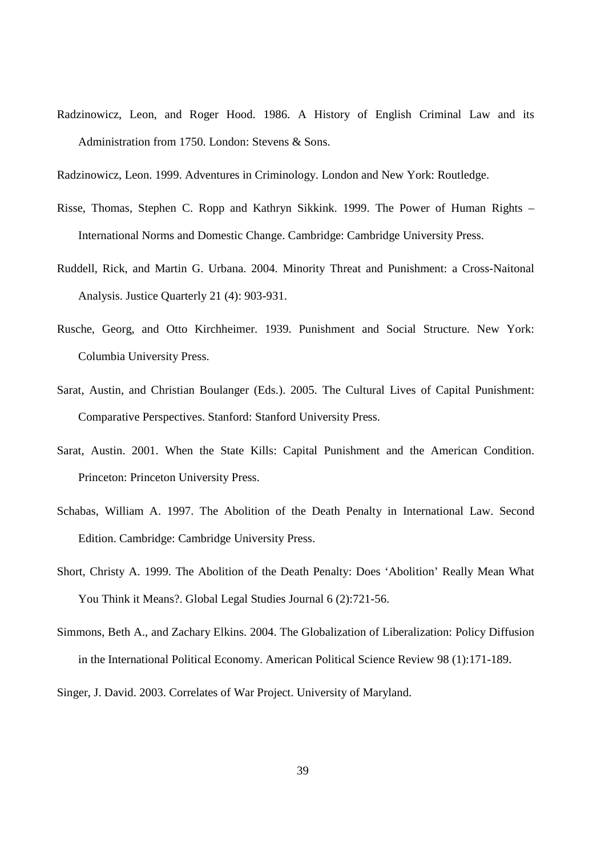Radzinowicz, Leon, and Roger Hood. 1986. A History of English Criminal Law and its Administration from 1750. London: Stevens & Sons.

- Risse, Thomas, Stephen C. Ropp and Kathryn Sikkink. 1999. The Power of Human Rights International Norms and Domestic Change. Cambridge: Cambridge University Press.
- Ruddell, Rick, and Martin G. Urbana. 2004. Minority Threat and Punishment: a Cross-Naitonal Analysis. Justice Quarterly 21 (4): 903-931.
- Rusche, Georg, and Otto Kirchheimer. 1939. Punishment and Social Structure. New York: Columbia University Press.
- Sarat, Austin, and Christian Boulanger (Eds.). 2005. The Cultural Lives of Capital Punishment: Comparative Perspectives. Stanford: Stanford University Press.
- Sarat, Austin. 2001. When the State Kills: Capital Punishment and the American Condition. Princeton: Princeton University Press.
- Schabas, William A. 1997. The Abolition of the Death Penalty in International Law. Second Edition. Cambridge: Cambridge University Press.
- Short, Christy A. 1999. The Abolition of the Death Penalty: Does 'Abolition' Really Mean What You Think it Means?. Global Legal Studies Journal 6 (2):721-56.
- Simmons, Beth A., and Zachary Elkins. 2004. The Globalization of Liberalization: Policy Diffusion in the International Political Economy. American Political Science Review 98 (1):171-189.

Singer, J. David. 2003. Correlates of War Project. University of Maryland.

Radzinowicz, Leon. 1999. Adventures in Criminology. London and New York: Routledge.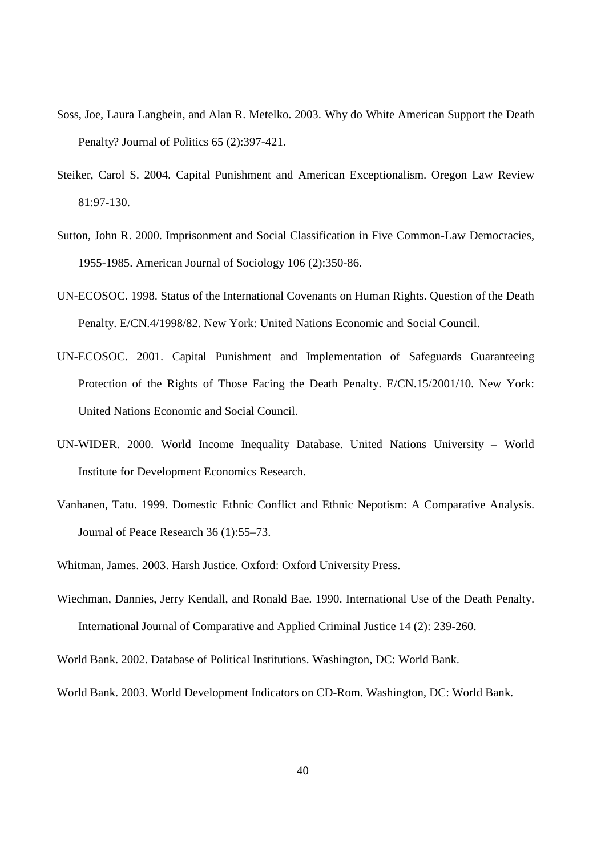- Soss, Joe, Laura Langbein, and Alan R. Metelko. 2003. Why do White American Support the Death Penalty? Journal of Politics 65 (2):397-421.
- Steiker, Carol S. 2004. Capital Punishment and American Exceptionalism. Oregon Law Review 81:97-130.
- Sutton, John R. 2000. Imprisonment and Social Classification in Five Common-Law Democracies, 1955-1985. American Journal of Sociology 106 (2):350-86.
- UN-ECOSOC. 1998. Status of the International Covenants on Human Rights. Question of the Death Penalty. E/CN.4/1998/82. New York: United Nations Economic and Social Council.
- UN-ECOSOC. 2001. Capital Punishment and Implementation of Safeguards Guaranteeing Protection of the Rights of Those Facing the Death Penalty. E/CN.15/2001/10. New York: United Nations Economic and Social Council.
- UN-WIDER. 2000. World Income Inequality Database. United Nations University World Institute for Development Economics Research.
- Vanhanen, Tatu. 1999. Domestic Ethnic Conflict and Ethnic Nepotism: A Comparative Analysis. Journal of Peace Research 36 (1):55–73.
- Whitman, James. 2003. Harsh Justice. Oxford: Oxford University Press.
- Wiechman, Dannies, Jerry Kendall, and Ronald Bae. 1990. International Use of the Death Penalty. International Journal of Comparative and Applied Criminal Justice 14 (2): 239-260.
- World Bank. 2002. Database of Political Institutions. Washington, DC: World Bank.
- World Bank. 2003. World Development Indicators on CD-Rom. Washington, DC: World Bank.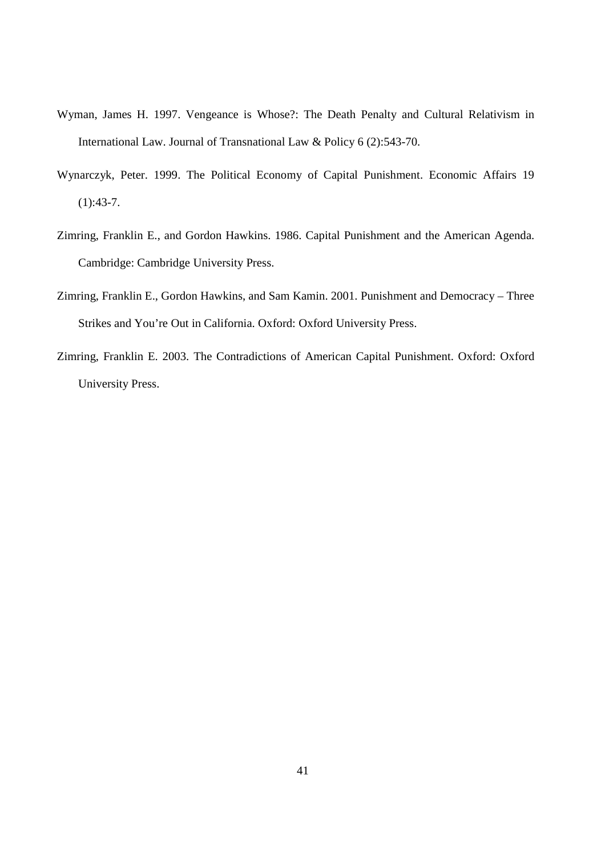- Wyman, James H. 1997. Vengeance is Whose?: The Death Penalty and Cultural Relativism in International Law. Journal of Transnational Law & Policy 6 (2):543-70.
- Wynarczyk, Peter. 1999. The Political Economy of Capital Punishment. Economic Affairs 19  $(1):43-7.$
- Zimring, Franklin E., and Gordon Hawkins. 1986. Capital Punishment and the American Agenda. Cambridge: Cambridge University Press.
- Zimring, Franklin E., Gordon Hawkins, and Sam Kamin. 2001. Punishment and Democracy Three Strikes and You're Out in California. Oxford: Oxford University Press.
- Zimring, Franklin E. 2003. The Contradictions of American Capital Punishment. Oxford: Oxford University Press.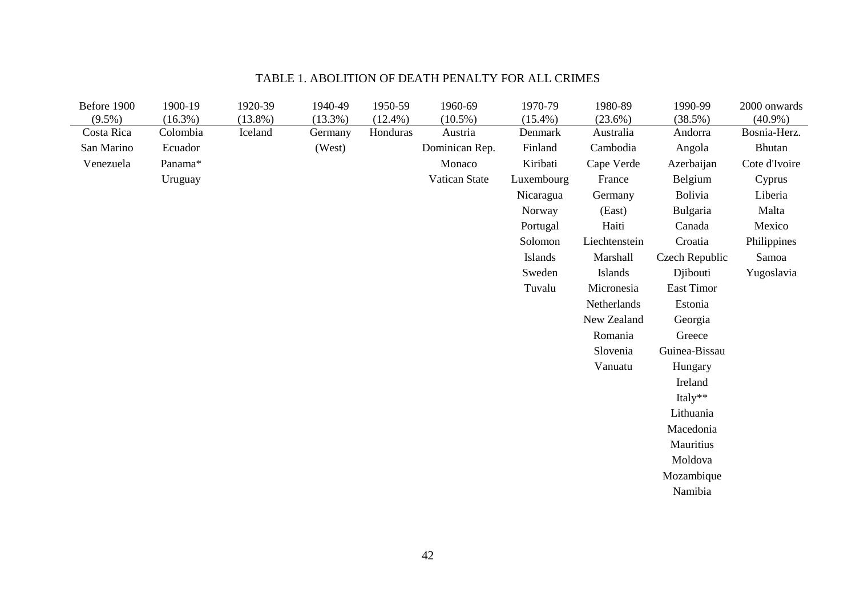| Before 1900 | 1900-19    | 1920-39    | 1940-49 | 1950-59    | 1960-69        | 1970-79    | 1980-89       | 1990-99        | 2000 onwards  |
|-------------|------------|------------|---------|------------|----------------|------------|---------------|----------------|---------------|
| $(9.5\%)$   | $(16.3\%)$ | $(13.8\%)$ | (13.3%) | $(12.4\%)$ | $(10.5\%)$     | $(15.4\%)$ | $(23.6\%)$    | (38.5%)        | $(40.9\%)$    |
| Costa Rica  | Colombia   | Iceland    | Germany | Honduras   | Austria        | Denmark    | Australia     | Andorra        | Bosnia-Herz.  |
| San Marino  | Ecuador    |            | (West)  |            | Dominican Rep. | Finland    | Cambodia      | Angola         | Bhutan        |
| Venezuela   | Panama*    |            |         |            | Monaco         | Kiribati   | Cape Verde    | Azerbaijan     | Cote d'Ivoire |
|             | Uruguay    |            |         |            | Vatican State  | Luxembourg | France        | Belgium        | Cyprus        |
|             |            |            |         |            |                | Nicaragua  | Germany       | Bolivia        | Liberia       |
|             |            |            |         |            |                | Norway     | (East)        | Bulgaria       | Malta         |
|             |            |            |         |            |                | Portugal   | Haiti         | Canada         | Mexico        |
|             |            |            |         |            |                | Solomon    | Liechtenstein | Croatia        | Philippines   |
|             |            |            |         |            |                | Islands    | Marshall      | Czech Republic | Samoa         |
|             |            |            |         |            |                | Sweden     | Islands       | Djibouti       | Yugoslavia    |
|             |            |            |         |            |                | Tuvalu     | Micronesia    | East Timor     |               |
|             |            |            |         |            |                |            | Netherlands   | Estonia        |               |
|             |            |            |         |            |                |            | New Zealand   | Georgia        |               |
|             |            |            |         |            |                |            | Romania       | Greece         |               |
|             |            |            |         |            |                |            | Slovenia      | Guinea-Bissau  |               |
|             |            |            |         |            |                |            | Vanuatu       | Hungary        |               |
|             |            |            |         |            |                |            |               | Ireland        |               |
|             |            |            |         |            |                |            |               | Italy**        |               |
|             |            |            |         |            |                |            |               | Lithuania      |               |
|             |            |            |         |            |                |            |               | Macedonia      |               |
|             |            |            |         |            |                |            |               | Mauritius      |               |
|             |            |            |         |            |                |            |               | Moldova        |               |
|             |            |            |         |            |                |            |               | Mozambique     |               |
|             |            |            |         |            |                |            |               | Namibia        |               |
|             |            |            |         |            |                |            |               |                |               |

# TABLE 1. ABOLITION OF DEATH PENALTY FOR ALL CRIMES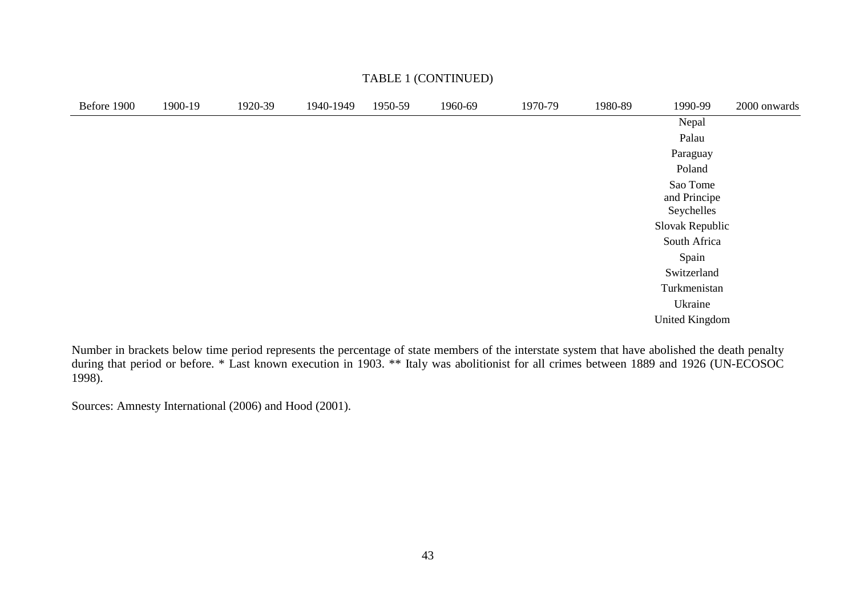| Before 1900 | 1900-19 | 1920-39 | 1940-1949 | 1950-59 | 1960-69 | 1970-79 | 1980-89 | 1990-99                                | 2000 onwards |
|-------------|---------|---------|-----------|---------|---------|---------|---------|----------------------------------------|--------------|
|             |         |         |           |         |         |         |         | Nepal                                  |              |
|             |         |         |           |         |         |         |         | Palau                                  |              |
|             |         |         |           |         |         |         |         | Paraguay                               |              |
|             |         |         |           |         |         |         |         | Poland                                 |              |
|             |         |         |           |         |         |         |         | Sao Tome<br>and Principe<br>Seychelles |              |
|             |         |         |           |         |         |         |         | Slovak Republic                        |              |
|             |         |         |           |         |         |         |         | South Africa                           |              |
|             |         |         |           |         |         |         |         | Spain                                  |              |
|             |         |         |           |         |         |         |         | Switzerland                            |              |
|             |         |         |           |         |         |         |         | Turkmenistan                           |              |
|             |         |         |           |         |         |         |         | Ukraine                                |              |
|             |         |         |           |         |         |         |         | <b>United Kingdom</b>                  |              |
|             |         |         |           |         |         |         |         |                                        |              |

### TABLE 1 (CONTINUED)

Number in brackets below time period represents the percentage of state members of the interstate system that have abolished the death penalty<br>during that period or before. \* Last known execution in 1903. \*\* Italy was abol 1998).

Sources: Amnesty International (2006) and Hood (2001).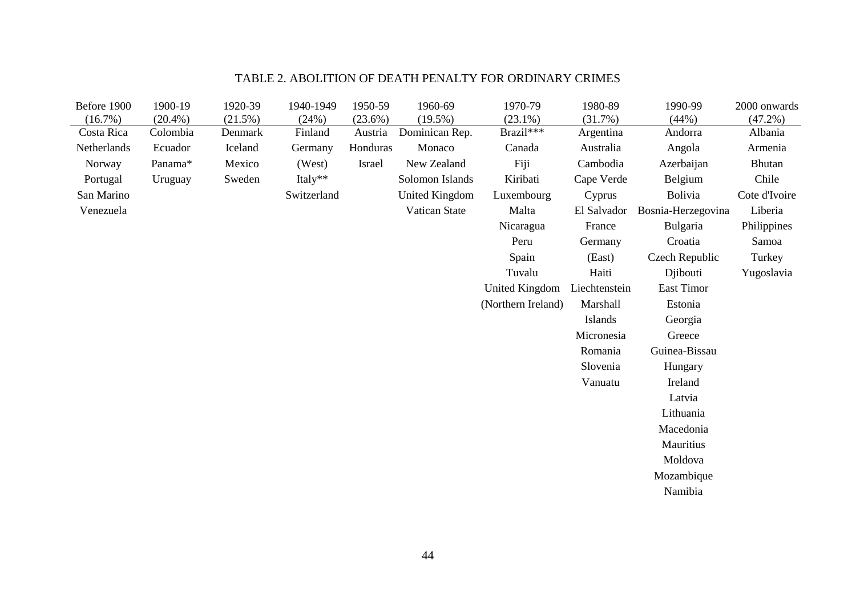# TABLE 2. ABOLITION OF DEATH PENALTY FOR ORDINARY CRIMES

| Before 1900 | 1900-19    | 1920-39 | 1940-1949   | 1950-59  | 1960-69               | 1970-79            | 1980-89       | 1990-99            | 2000 onwards  |
|-------------|------------|---------|-------------|----------|-----------------------|--------------------|---------------|--------------------|---------------|
| (16.7%)     | $(20.4\%)$ | (21.5%) | (24%)       | (23.6%)  | $(19.5\%)$            | $(23.1\%)$         | (31.7%)       | (44%)              | $(47.2\%)$    |
| Costa Rica  | Colombia   | Denmark | Finland     | Austria  | Dominican Rep.        | Brazil***          | Argentina     | Andorra            | Albania       |
| Netherlands | Ecuador    | Iceland | Germany     | Honduras | Monaco                | Canada             | Australia     | Angola             | Armenia       |
| Norway      | Panama*    | Mexico  | (West)      | Israel   | New Zealand           | Fiji               | Cambodia      | Azerbaijan         | Bhutan        |
| Portugal    | Uruguay    | Sweden  | Italy**     |          | Solomon Islands       | Kiribati           | Cape Verde    | Belgium            | Chile         |
| San Marino  |            |         | Switzerland |          | <b>United Kingdom</b> | Luxembourg         | Cyprus        | <b>Bolivia</b>     | Cote d'Ivoire |
| Venezuela   |            |         |             |          | Vatican State         | Malta              | El Salvador   | Bosnia-Herzegovina | Liberia       |
|             |            |         |             |          |                       | Nicaragua          | France        | Bulgaria           | Philippines   |
|             |            |         |             |          |                       | Peru               | Germany       | Croatia            | Samoa         |
|             |            |         |             |          |                       | Spain              | (East)        | Czech Republic     | Turkey        |
|             |            |         |             |          |                       | Tuvalu             | Haiti         | Djibouti           | Yugoslavia    |
|             |            |         |             |          |                       | United Kingdom     | Liechtenstein | East Timor         |               |
|             |            |         |             |          |                       | (Northern Ireland) | Marshall      | Estonia            |               |
|             |            |         |             |          |                       |                    | Islands       | Georgia            |               |
|             |            |         |             |          |                       |                    | Micronesia    | Greece             |               |
|             |            |         |             |          |                       |                    | Romania       | Guinea-Bissau      |               |
|             |            |         |             |          |                       |                    | Slovenia      | Hungary            |               |
|             |            |         |             |          |                       |                    | Vanuatu       | Ireland            |               |
|             |            |         |             |          |                       |                    |               | Latvia             |               |
|             |            |         |             |          |                       |                    |               | Lithuania          |               |
|             |            |         |             |          |                       |                    |               | Macedonia          |               |
|             |            |         |             |          |                       |                    |               | Mauritius          |               |
|             |            |         |             |          |                       |                    |               | Moldova            |               |
|             |            |         |             |          |                       |                    |               | Mozambique         |               |
|             |            |         |             |          |                       |                    |               | Namibia            |               |
|             |            |         |             |          |                       |                    |               |                    |               |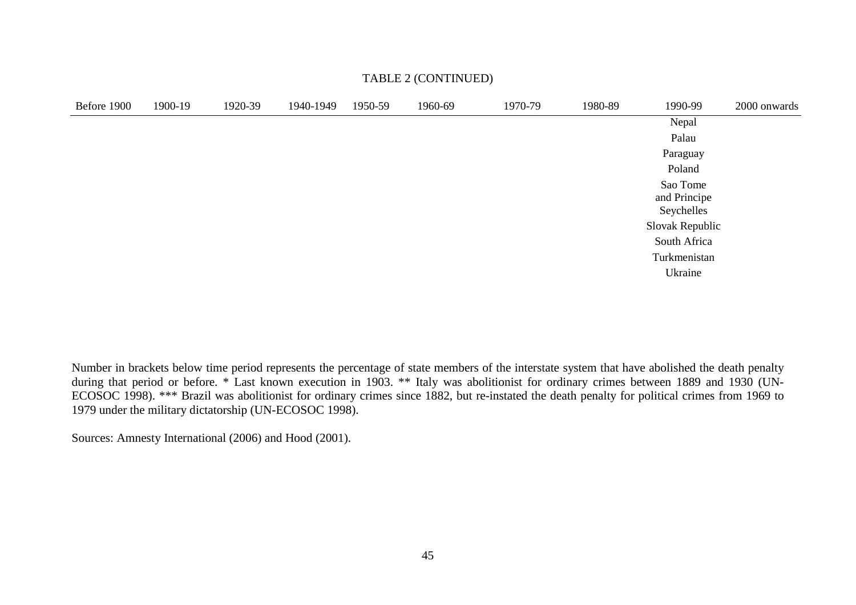| Before 1900 | 1900-19 | 1920-39 | 1940-1949 | 1950-59 | 1960-69 | 1970-79 | 1980-89 | 1990-99                                | 2000 onwards |
|-------------|---------|---------|-----------|---------|---------|---------|---------|----------------------------------------|--------------|
|             |         |         |           |         |         |         |         | Nepal                                  |              |
|             |         |         |           |         |         |         |         | Palau                                  |              |
|             |         |         |           |         |         |         |         | Paraguay                               |              |
|             |         |         |           |         |         |         |         | Poland                                 |              |
|             |         |         |           |         |         |         |         | Sao Tome<br>and Principe<br>Seychelles |              |
|             |         |         |           |         |         |         |         | Slovak Republic                        |              |
|             |         |         |           |         |         |         |         | South Africa                           |              |
|             |         |         |           |         |         |         |         | Turkmenistan                           |              |
|             |         |         |           |         |         |         |         | Ukraine                                |              |

### TABLE 2 (CONTINUED)

Number in brackets below time period represents the percentage of state members of the interstate system that have abolished the death penalty during that period or before. \* Last known execution in 1903. \*\* Italy was abolitionist for ordinary crimes between 1889 and 1930 (UN-ECOSOC 1998). \*\*\* Brazil was abolitionist for ordinary crimes since 1882, but re-instated the death penalty for political crimes from 1969 to 1979 under the military dictatorship (UN-ECOSOC 1998).

Sources: Amnesty International (2006) and Hood (2001).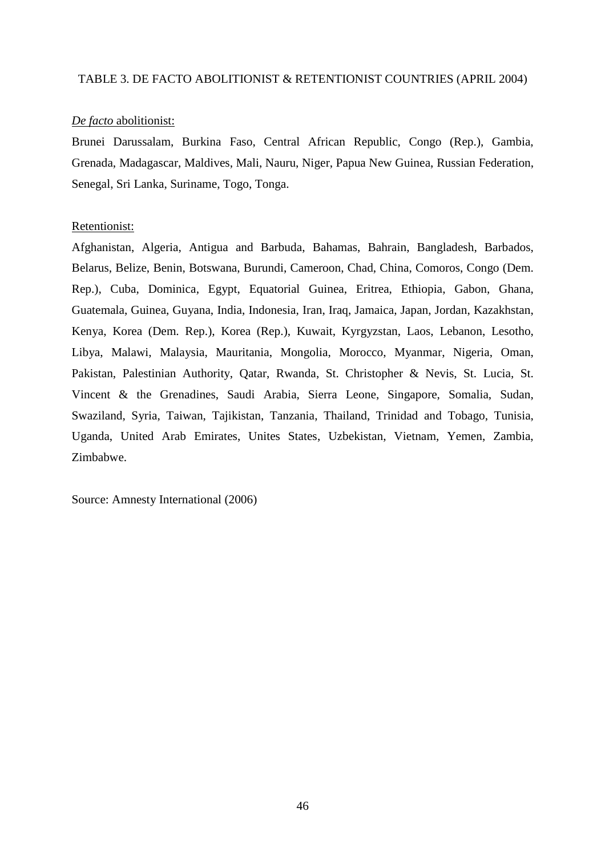#### TABLE 3. DE FACTO ABOLITIONIST & RETENTIONIST COUNTRIES (APRIL 2004)

### *De facto* abolitionist:

Brunei Darussalam, Burkina Faso, Central African Republic, Congo (Rep.), Gambia, Grenada, Madagascar, Maldives, Mali, Nauru, Niger, Papua New Guinea, Russian Federation, Senegal, Sri Lanka, Suriname, Togo, Tonga.

#### Retentionist:

Afghanistan, Algeria, Antigua and Barbuda, Bahamas, Bahrain, Bangladesh, Barbados, Belarus, Belize, Benin, Botswana, Burundi, Cameroon, Chad, China, Comoros, Congo (Dem. Rep.), Cuba, Dominica, Egypt, Equatorial Guinea, Eritrea, Ethiopia, Gabon, Ghana, Guatemala, Guinea, Guyana, India, Indonesia, Iran, Iraq, Jamaica, Japan, Jordan, Kazakhstan, Kenya, Korea (Dem. Rep.), Korea (Rep.), Kuwait, Kyrgyzstan, Laos, Lebanon, Lesotho, Libya, Malawi, Malaysia, Mauritania, Mongolia, Morocco, Myanmar, Nigeria, Oman, Pakistan, Palestinian Authority, Qatar, Rwanda, St. Christopher & Nevis, St. Lucia, St. Vincent & the Grenadines, Saudi Arabia, Sierra Leone, Singapore, Somalia, Sudan, Swaziland, Syria, Taiwan, Tajikistan, Tanzania, Thailand, Trinidad and Tobago, Tunisia, Uganda, United Arab Emirates, Unites States, Uzbekistan, Vietnam, Yemen, Zambia, Zimbabwe.

Source: Amnesty International (2006)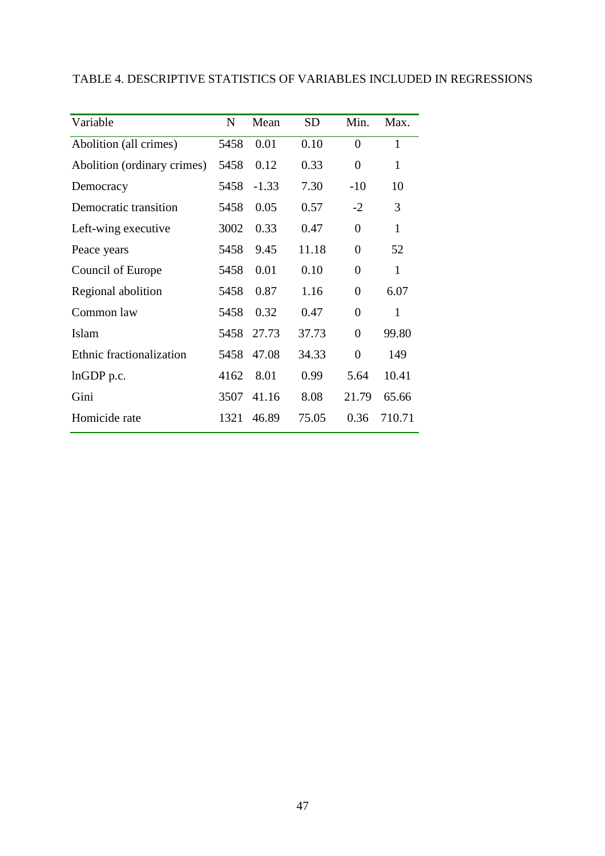|  | TABLE 4. DESCRIPTIVE STATISTICS OF VARIABLES INCLUDED IN REGRESSIONS |
|--|----------------------------------------------------------------------|
|--|----------------------------------------------------------------------|

| Variable                    | N    | Mean    | <b>SD</b> | Min.             | Max.         |
|-----------------------------|------|---------|-----------|------------------|--------------|
| Abolition (all crimes)      | 5458 | 0.01    | 0.10      | $\boldsymbol{0}$ | 1            |
| Abolition (ordinary crimes) | 5458 | 0.12    | 0.33      | $\boldsymbol{0}$ | $\mathbf{1}$ |
| Democracy                   | 5458 | $-1.33$ | 7.30      | $-10$            | 10           |
| Democratic transition       | 5458 | 0.05    | 0.57      | $-2$             | 3            |
| Left-wing executive         | 3002 | 0.33    | 0.47      | $\boldsymbol{0}$ | $\mathbf{1}$ |
| Peace years                 | 5458 | 9.45    | 11.18     | $\overline{0}$   | 52           |
| Council of Europe           | 5458 | 0.01    | 0.10      | $\boldsymbol{0}$ | $\mathbf{1}$ |
| Regional abolition          | 5458 | 0.87    | 1.16      | $\boldsymbol{0}$ | 6.07         |
| Common law                  | 5458 | 0.32    | 0.47      | $\overline{0}$   | 1            |
| Islam                       | 5458 | 27.73   | 37.73     | $\boldsymbol{0}$ | 99.80        |
| Ethnic fractionalization    | 5458 | 47.08   | 34.33     | $\overline{0}$   | 149          |
| lnGDP p.c.                  | 4162 | 8.01    | 0.99      | 5.64             | 10.41        |
| Gini                        | 3507 | 41.16   | 8.08      | 21.79            | 65.66        |
| Homicide rate               | 1321 | 46.89   | 75.05     | 0.36             | 710.71       |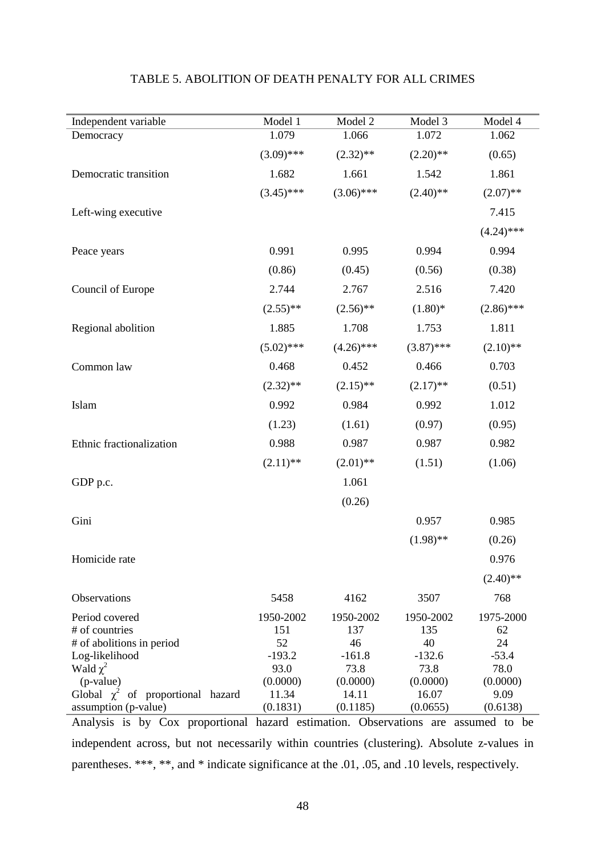| Independent variable                                                                                      | Model 1                            | Model 2                            | Model 3                            | Model 4                          |
|-----------------------------------------------------------------------------------------------------------|------------------------------------|------------------------------------|------------------------------------|----------------------------------|
| Democracy                                                                                                 | 1.079                              | 1.066                              | 1.072                              | 1.062                            |
|                                                                                                           | $(3.09)$ ***                       | $(2.32)$ **                        | $(2.20)$ **                        | (0.65)                           |
| Democratic transition                                                                                     | 1.682                              | 1.661                              | 1.542                              | 1.861                            |
|                                                                                                           | $(3.45)$ ***                       | $(3.06)$ ***                       | $(2.40)$ **                        | $(2.07)$ **                      |
| Left-wing executive                                                                                       |                                    |                                    |                                    | 7.415                            |
|                                                                                                           |                                    |                                    |                                    | $(4.24)$ ***                     |
| Peace years                                                                                               | 0.991                              | 0.995                              | 0.994                              | 0.994                            |
|                                                                                                           | (0.86)                             | (0.45)                             | (0.56)                             | (0.38)                           |
| Council of Europe                                                                                         | 2.744                              | 2.767                              | 2.516                              | 7.420                            |
|                                                                                                           | $(2.55)$ **                        | $(2.56)$ **                        | $(1.80)$ *                         | $(2.86)$ ***                     |
| Regional abolition                                                                                        | 1.885                              | 1.708                              | 1.753                              | 1.811                            |
|                                                                                                           | $(5.02)$ ***                       | $(4.26)$ ***                       | $(3.87)$ ***                       | $(2.10)$ **                      |
| Common law                                                                                                | 0.468                              | 0.452                              | 0.466                              | 0.703                            |
|                                                                                                           | $(2.32)$ **                        | $(2.15)$ **                        | $(2.17)$ **                        | (0.51)                           |
| Islam                                                                                                     | 0.992                              | 0.984                              | 0.992                              | 1.012                            |
|                                                                                                           | (1.23)                             | (1.61)                             | (0.97)                             | (0.95)                           |
| Ethnic fractionalization                                                                                  | 0.988                              | 0.987                              | 0.987                              | 0.982                            |
|                                                                                                           | $(2.11)$ **                        | $(2.01)$ **                        | (1.51)                             | (1.06)                           |
| GDP p.c.                                                                                                  |                                    | 1.061                              |                                    |                                  |
|                                                                                                           |                                    | (0.26)                             |                                    |                                  |
| Gini                                                                                                      |                                    |                                    | 0.957                              | 0.985                            |
|                                                                                                           |                                    |                                    | $(1.98)$ **                        | (0.26)                           |
| Homicide rate                                                                                             |                                    |                                    |                                    | 0.976                            |
|                                                                                                           |                                    |                                    |                                    | $(2.40)$ **                      |
| Observations                                                                                              | 5458                               | 4162                               | 3507                               | 768                              |
| Period covered<br># of countries<br># of abolitions in period<br>Log-likelihood                           | 1950-2002<br>151<br>52<br>$-193.2$ | 1950-2002<br>137<br>46<br>$-161.8$ | 1950-2002<br>135<br>40<br>$-132.6$ | 1975-2000<br>62<br>24<br>$-53.4$ |
| Wald $\chi^2$<br>(p-value)                                                                                | 93.0<br>(0.0000)                   | 73.8<br>(0.0000)                   | 73.8<br>(0.0000)                   | 78.0<br>(0.0000)                 |
| Global $\chi^2$<br>of proportional hazard                                                                 | 11.34                              | 14.11                              | 16.07                              | 9.09                             |
| assumption (p-value)<br>Analysis is by Cox proportional hazard estimation. Observations are assumed to be | (0.1831)                           | (0.1185)                           | (0.0655)                           | (0.6138)                         |

## TABLE 5. ABOLITION OF DEATH PENALTY FOR ALL CRIMES

independent across, but not necessarily within countries (clustering). Absolute z-values in parentheses. \*\*\*, \*\*, and \* indicate significance at the .01, .05, and .10 levels, respectively.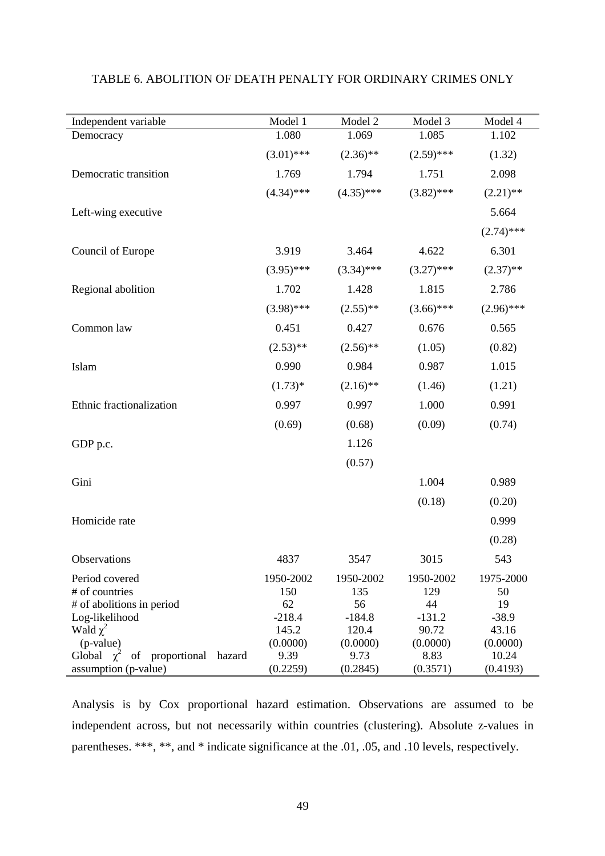| Independent variable                            | Model 1        | Model 2        | Model 3           | Model 4          |
|-------------------------------------------------|----------------|----------------|-------------------|------------------|
| Democracy                                       | 1.080          | 1.069          | 1.085             | 1.102            |
|                                                 | $(3.01)$ ***   | $(2.36)$ **    | $(2.59)$ ***      | (1.32)           |
| Democratic transition                           | 1.769          | 1.794          | 1.751             | 2.098            |
|                                                 | $(4.34)$ ***   | $(4.35)$ ***   | $(3.82)$ ***      | $(2.21)$ **      |
| Left-wing executive                             |                |                |                   | 5.664            |
|                                                 |                |                |                   | $(2.74)$ ***     |
| Council of Europe                               | 3.919          | 3.464          | 4.622             | 6.301            |
|                                                 | $(3.95)$ ***   | $(3.34)$ ***   | $(3.27)$ ***      | $(2.37)$ **      |
| Regional abolition                              | 1.702          | 1.428          | 1.815             | 2.786            |
|                                                 | $(3.98)$ ***   | $(2.55)$ **    | $(3.66)$ ***      | $(2.96)$ ***     |
| Common law                                      | 0.451          | 0.427          | 0.676             | 0.565            |
|                                                 | $(2.53)$ **    | $(2.56)$ **    | (1.05)            | (0.82)           |
| Islam                                           | 0.990          | 0.984          | 0.987             | 1.015            |
|                                                 | $(1.73)*$      | $(2.16)$ **    | (1.46)            | (1.21)           |
| Ethnic fractionalization                        | 0.997          | 0.997          | 1.000             | 0.991            |
|                                                 | (0.69)         | (0.68)         | (0.09)            | (0.74)           |
| GDP p.c.                                        |                | 1.126          |                   |                  |
|                                                 |                | (0.57)         |                   |                  |
| Gini                                            |                |                | 1.004             | 0.989            |
|                                                 |                |                | (0.18)            | (0.20)           |
| Homicide rate                                   |                |                |                   | 0.999            |
|                                                 |                |                |                   | (0.28)           |
| Observations                                    | 4837           | 3547           | 3015              | 543              |
| Period covered                                  | 1950-2002      | 1950-2002      | 1950-2002         | 1975-2000        |
| # of countries                                  | 150            | 135            | 129               | 50               |
| # of abolitions in period                       | 62<br>$-218.4$ | 56<br>$-184.8$ | 44                | 19               |
| Log-likelihood<br>Wald $\chi^2$                 | 145.2          | 120.4          | $-131.2$<br>90.72 | $-38.9$<br>43.16 |
| (p-value)                                       | (0.0000)       | (0.0000)       | (0.0000)          | (0.0000)         |
| Global $\chi^2$<br>proportional<br>hazard<br>of | 9.39           | 9.73           | 8.83              | 10.24            |
| assumption (p-value)                            | (0.2259)       | (0.2845)       | (0.3571)          | (0.4193)         |

### TABLE 6. ABOLITION OF DEATH PENALTY FOR ORDINARY CRIMES ONLY

Analysis is by Cox proportional hazard estimation. Observations are assumed to be independent across, but not necessarily within countries (clustering). Absolute z-values in parentheses. \*\*\*, \*\*, and \* indicate significance at the .01, .05, and .10 levels, respectively.